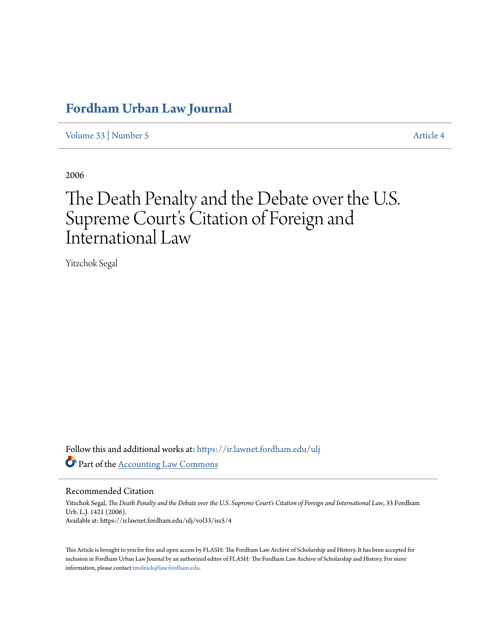# **[Fordham Urban Law Journal](https://ir.lawnet.fordham.edu/ulj?utm_source=ir.lawnet.fordham.edu%2Fulj%2Fvol33%2Fiss5%2F4&utm_medium=PDF&utm_campaign=PDFCoverPages)**

[Volume 33](https://ir.lawnet.fordham.edu/ulj/vol33?utm_source=ir.lawnet.fordham.edu%2Fulj%2Fvol33%2Fiss5%2F4&utm_medium=PDF&utm_campaign=PDFCoverPages) | [Number 5](https://ir.lawnet.fordham.edu/ulj/vol33/iss5?utm_source=ir.lawnet.fordham.edu%2Fulj%2Fvol33%2Fiss5%2F4&utm_medium=PDF&utm_campaign=PDFCoverPages) [Article 4](https://ir.lawnet.fordham.edu/ulj/vol33/iss5/4?utm_source=ir.lawnet.fordham.edu%2Fulj%2Fvol33%2Fiss5%2F4&utm_medium=PDF&utm_campaign=PDFCoverPages)

2006

# The Death Penalty and the Debate over the U.S. Supreme Court's Citation of Foreign and International Law

Yitzchok Segal

Follow this and additional works at: [https://ir.lawnet.fordham.edu/ulj](https://ir.lawnet.fordham.edu/ulj?utm_source=ir.lawnet.fordham.edu%2Fulj%2Fvol33%2Fiss5%2F4&utm_medium=PDF&utm_campaign=PDFCoverPages) Part of the [Accounting Law Commons](http://network.bepress.com/hgg/discipline/828?utm_source=ir.lawnet.fordham.edu%2Fulj%2Fvol33%2Fiss5%2F4&utm_medium=PDF&utm_campaign=PDFCoverPages)

Recommended Citation

Yitzchok Segal, *The Death Penalty and the Debate over the U.S. Supreme Court's Citation of Foreign and International Law*, 33 Fordham Urb. L.J. 1421 (2006). Available at: https://ir.lawnet.fordham.edu/ulj/vol33/iss5/4

This Article is brought to you for free and open access by FLASH: The Fordham Law Archive of Scholarship and History. It has been accepted for inclusion in Fordham Urban Law Journal by an authorized editor of FLASH: The Fordham Law Archive of Scholarship and History. For more information, please contact [tmelnick@law.fordham.edu](mailto:tmelnick@law.fordham.edu).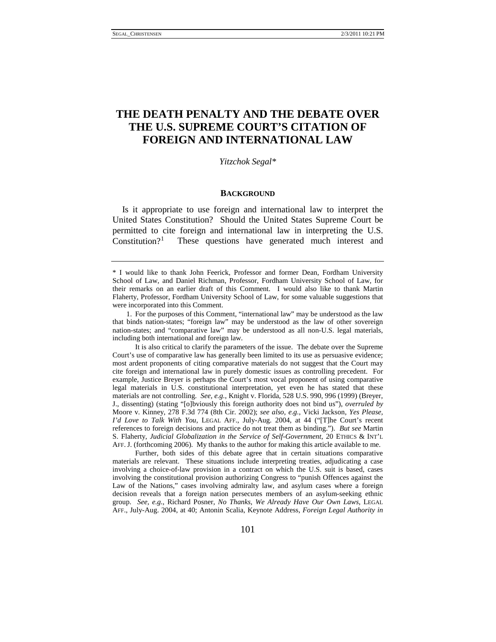## **THE DEATH PENALTY AND THE DEBATE OVER THE U.S. SUPREME COURT'S CITATION OF FOREIGN AND INTERNATIONAL LAW**

*Yitzchok Segal\**

#### **BACKGROUND**

Is it appropriate to use foreign and international law to interpret the United States Constitution? Should the United States Supreme Court be permitted to cite foreign and international law in interpreting the U.S. Constitution?<sup>[1](#page-1-0)</sup> These questions have generated much interest and

It is also critical to clarify the parameters of the issue. The debate over the Supreme Court's use of comparative law has generally been limited to its use as persuasive evidence; most ardent proponents of citing comparative materials do not suggest that the Court may cite foreign and international law in purely domestic issues as controlling precedent. For example, Justice Breyer is perhaps the Court's most vocal proponent of using comparative legal materials in U.S. constitutional interpretation, yet even he has stated that these materials are not controlling. *See, e.g.*, Knight v. Florida, 528 U.S. 990, 996 (1999) (Breyer, J., dissenting) (stating "[o]bviously this foreign authority does not bind us"), *overruled by* Moore v. Kinney, 278 F.3d 774 (8th Cir. 2002); *see also, e.g.*, Vicki Jackson, *Yes Please, I'd Love to Talk With You*, LEGAL AFF., July-Aug. 2004, at 44 ("[T]he Court's recent references to foreign decisions and practice do not treat them as binding."). *But see* Martin S. Flaherty, *Judicial Globalization in the Service of Self-Government*, 20 ETHICS & INT'L AFF. J. (forthcoming 2006). My thanks to the author for making this article available to me.

Further, both sides of this debate agree that in certain situations comparative materials are relevant. These situations include interpreting treaties, adjudicating a case involving a choice-of-law provision in a contract on which the U.S. suit is based, cases involving the constitutional provision authorizing Congress to "punish Offences against the Law of the Nations," cases involving admiralty law, and asylum cases where a foreign decision reveals that a foreign nation persecutes members of an asylum-seeking ethnic group. *See, e.g.*, Richard Posner, *No Thanks, We Already Have Our Own Laws*, LEGAL AFF., July-Aug. 2004, at 40; Antonin Scalia, Keynote Address, *Foreign Legal Authority in* 

<span id="page-1-0"></span><sup>\*</sup> I would like to thank John Feerick, Professor and former Dean, Fordham University School of Law, and Daniel Richman, Professor, Fordham University School of Law, for their remarks on an earlier draft of this Comment. I would also like to thank Martin Flaherty, Professor, Fordham University School of Law, for some valuable suggestions that were incorporated into this Comment.

<sup>1.</sup> For the purposes of this Comment, "international law" may be understood as the law that binds nation-states; "foreign law" may be understood as the law of other sovereign nation-states; and "comparative law" may be understood as all non-U.S. legal materials, including both international and foreign law.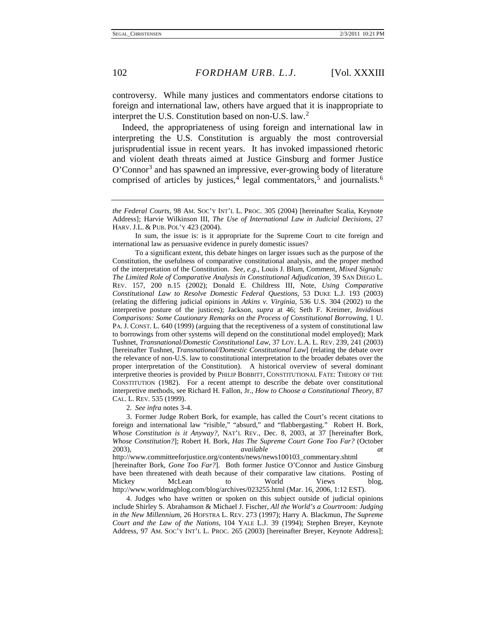controversy. While many justices and commentators endorse citations to foreign and international law, others have argued that it is inappropriate to interpret the U.S. Constitution based on non-U.S. law.<sup>[2](#page-2-0)</sup>

Indeed, the appropriateness of using foreign and international law in interpreting the U.S. Constitution is arguably the most controversial jurisprudential issue in recent years. It has invoked impassioned rhetoric and violent death threats aimed at Justice Ginsburg and former Justice O'Connor<sup>[3](#page-2-1)</sup> and has spawned an impressive, ever-growing body of literature comprised of articles by justices,  $\frac{4}{3}$  $\frac{4}{3}$  $\frac{4}{3}$  legal commentators,  $\frac{5}{3}$  $\frac{5}{3}$  $\frac{5}{3}$  and journalists.<sup>[6](#page-2-4)</sup>

To a significant extent, this debate hinges on larger issues such as the purpose of the Constitution, the usefulness of comparative constitutional analysis, and the proper method of the interpretation of the Constitution. *See, e.g.*, Louis J. Blum, Comment, *Mixed Signals: The Limited Role of Comparative Analysis in Constitutional Adjudication*, 39 SAN DIEGO L. REV. 157, 200 n.15 (2002); Donald E. Childress III, Note, *Using Comparative Constitutional Law to Resolve Domestic Federal Questions*, 53 DUKE L.J. 193 (2003) (relating the differing judicial opinions in *Atkins v. Virginia*, 536 U.S. 304 (2002) to the interpretive posture of the justices); Jackson, *supra* at 46; Seth F. Kreimer, *Invidious Comparisons: Some Cautionary Remarks on the Process of Constitutional Borrowing*, 1 U. PA. J. CONST. L. 640 (1999) (arguing that the receptiveness of a system of constitutional law to borrowings from other systems will depend on the constitutional model employed); Mark Tushnet, *Transnational/Domestic Constitutional Law*, 37 LOY. L.A. L. REV. 239, 241 (2003) [hereinafter Tushnet, *Transnational/Domestic Constitutional Law*] (relating the debate over the relevance of non-U.S. law to constitutional interpretation to the broader debates over the proper interpretation of the Constitution). A historical overview of several dominant interpretive theories is provided by PHILIP BOBBITT, CONSTITUTIONAL FATE: THEORY OF THE CONSTITUTION (1982). For a recent attempt to describe the debate over constitutional interpretive methods, see Richard H. Fallon, Jr., *How to Choose a Constitutional Theory*, 87 CAL. L. REV. 535 (1999).

2*. See infra* notes 3-4.

<span id="page-2-4"></span><span id="page-2-3"></span><span id="page-2-1"></span><span id="page-2-0"></span>3. Former Judge Robert Bork, for example, has called the Court's recent citations to foreign and international law "risible," "absurd," and "flabbergasting." Robert H. Bork, *Whose Constitution is it Anyway?*, NAT'L REV., Dec. 8, 2003, at 37 [hereinafter Bork, *Whose Constitution?*]; Robert H. Bork, *Has The Supreme Court Gone Too Far?* (October 2003), *available at* 

http://www.committeeforjustice.org/contents/news/news100103\_commentary.shtml [hereinafter Bork, *Gone Too Far?*]. Both former Justice O'Connor and Justice Ginsburg have been threatened with death because of their comparative law citations. Posting of Mickey McLean to World Views blog, <http://www.worldmagblog.com/blog/archives/023255.html> (Mar. 16, 2006, 1:12 EST).

<span id="page-2-2"></span>4. Judges who have written or spoken on this subject outside of judicial opinions include Shirley S. Abrahamson & Michael J. Fischer, *All the World's a Courtroom: Judging in the New Millennium*, 26 HOFSTRA L. REV. 273 (1997); Harry A. Blackmun, *The Supreme Court and the Law of the Nations*, 104 YALE L.J. 39 (1994); Stephen Breyer, Keynote Address, 97 AM. SOC'Y INT'L L. PROC. 265 (2003) [hereinafter Breyer, Keynote Address];

*the Federal Courts*, 98 AM. SOC'Y INT'L L. PROC. 305 (2004) [hereinafter Scalia, Keynote Address]; Harvie Wilkinson III, *The Use of International Law in Judicial Decisions*, 27 HARV. J.L. & PUB. POL'Y 423 (2004).

In sum, the issue is: is it appropriate for the Supreme Court to cite foreign and international law as persuasive evidence in purely domestic issues?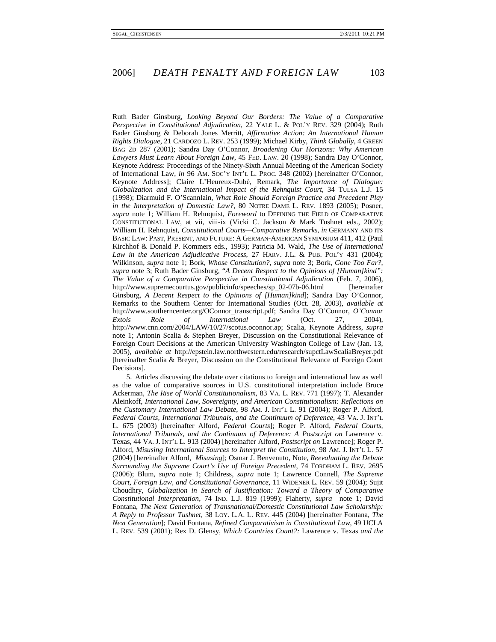Ruth Bader Ginsburg, *Looking Beyond Our Borders: The Value of a Comparative Perspective in Constitutional Adjudication*, 22 YALE L. & POL'Y REV. 329 (2004); Ruth Bader Ginsburg & Deborah Jones Merritt, *Affirmative Action: An International Human Rights Dialogue*, 21 CARDOZO L. REV. 253 (1999); Michael Kirby, *Think Globally*, 4 GREEN BAG 2D 287 (2001); Sandra Day O'Connor, *Broadening Our Horizons: Why American Lawyers Must Learn About Foreign Law*, 45 FED. LAW. 20 (1998); Sandra Day O'Connor, Keynote Address: Proceedings of the Ninety-Sixth Annual Meeting of the American Society of International Law, *in* 96 AM. SOC'Y INT'L L. PROC. 348 (2002) [hereinafter O'Connor, Keynote Address]; Claire L'Heureux-Dubè, Remark, *The Importance of Dialogue: Globalization and the International Impact of the Rehnquist Court*, 34 TULSA L.J. 15 (1998); Diarmuid F. O'Scannlain, *What Role Should Foreign Practice and Precedent Play in the Interpretation of Domestic Law?*, 80 NOTRE DAME L. REV. 1893 (2005); Posner, *supra* note 1; William H. Rehnquist, *Foreword* to DEFINING THE FIELD OF COMPARATIVE CONSTITUTIONAL LAW, at vii, viii-ix (Vicki C. Jackson & Mark Tushnet eds., 2002); William H. Rehnquist, *Constitutional Courts—Comparative Remarks*, *in* GERMANY AND ITS BASIC LAW: PAST, PRESENT, AND FUTURE: A GERMAN-AMERICAN SYMPOSIUM 411, 412 (Paul Kirchhof & Donald P. Kommers eds., 1993); Patricia M. Wald, *The Use of International Law in the American Adjudicative Process*, 27 HARV. J.L. & PUB. POL'Y 431 (2004); Wilkinson, *supra* note 1; Bork, *Whose Constitution?*, *supra* note 3; Bork, *Gone Too Far?*, *supra* note 3; Ruth Bader Ginsburg, "*A Decent Respect to the Opinions of [Human]kind": The Value of a Comparative Perspective in Constitutional Adjudication* (Feb. 7, 2006), [http://www.supremecourtus.gov/publicinfo/speeches/sp\\_02-07b-06.html](http://www.supremecourtus.gov/publicinfo/speeches/sp_02-07b-06.html) [hereinafter Ginsburg, *A Decent Respect to the Opinions of [Human]kind*]; Sandra Day O'Connor, Remarks to the Southern Center for International Studies (Oct. 28, 2003), *available at*  [http://www.southerncenter.org/OConnor\\_transcript.pdf;](http://www.southerncenter.org/OConnor_transcript.pdf) Sandra Day O'Connor, *O'Connor Extols Role of International Law* (Oct. 27, 2004), [http://www.cnn.com/2004/LAW/10/27/scotus.oconnor.ap;](http://www.cnn.com/2004/LAW/10/27/scotus.oconnor.ap) Scalia, Keynote Address, *supra* note 1; Antonin Scalia & Stephen Breyer, Discussion on the Constitutional Relevance of Foreign Court Decisions at the American University Washington College of Law (Jan. 13, 2005), *available at* http://epstein.law.northwestern.edu/research/supctLawScaliaBreyer.pdf [hereinafter Scalia & Breyer, Discussion on the Constitutional Relevance of Foreign Court Decisions].

5. Articles discussing the debate over citations to foreign and international law as well as the value of comparative sources in U.S. constitutional interpretation include Bruce Ackerman, *The Rise of World Constitutionalism*, 83 VA. L. REV. 771 (1997); T. Alexander Aleinkoff, *International Law, Sovereignty, and American Constitutionalism: Reflections on the Customary International Law Debate*, 98 AM. J. INT'L L. 91 (2004); Roger P. Alford, *Federal Courts, International Tribunals, and the Continuum of Deference*, 43 VA. J. INT'L L. 675 (2003) [hereinafter Alford, *Federal Courts*]; Roger P. Alford, *Federal Courts, International Tribunals, and the Continuum of Deference: A Postscript on Lawrence v.* Texas, 44 VA. J. INT'L L. 913 (2004) [hereinafter Alford, *Postscript on* Lawrence]; Roger P. Alford, *Misusing International Sources to Interpret the Constitution*, 98 AM. J. INT'L L. 57 (2004) [hereinafter Alford, *Misusing*]; Osmar J. Benvenuto, Note, *Reevaluating the Debate Surrounding the Supreme Court's Use of Foreign Precedent*, 74 FORDHAM L. REV. 2695 (2006); Blum, *supra* note 1; Childress, *supra* note 1; Lawrence Connell, *The Supreme Court, Foreign Law, and Constitutional Governance*, 11 WIDENER L. REV. 59 (2004); Sujit Choudhry, *Globalization in Search of Justification: Toward a Theory of Comparative Constitutional Interpretation*, 74 IND. L.J. 819 (1999); Flaherty, *supra* note 1; David Fontana, *The Next Generation of Transnational/Domestic Constitutional Law Scholarship: A Reply to Professor Tushnet*, 38 LOY. L.A. L. REV. 445 (2004) [hereinafter Fontana, *The Next Generation*]; David Fontana, *Refined Comparativism in Constitutional Law*, 49 UCLA L. REV. 539 (2001); Rex D. Glensy, *Which Countries Count?:* Lawrence v. Texas *and the*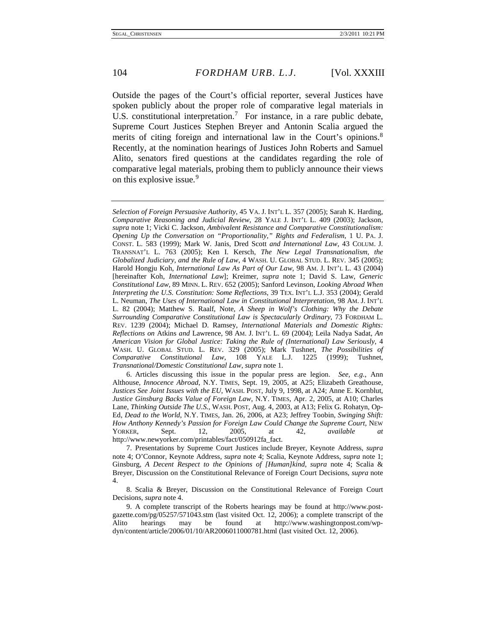Outside the pages of the Court's official reporter, several Justices have spoken publicly about the proper role of comparative legal materials in U.S. constitutional interpretation.<sup>[7](#page-4-0)</sup> For instance, in a rare public debate, Supreme Court Justices Stephen Breyer and Antonin Scalia argued the merits of citing foreign and international law in the Court's opinions.<sup>[8](#page-4-1)</sup> Recently, at the nomination hearings of Justices John Roberts and Samuel Alito, senators fired questions at the candidates regarding the role of comparative legal materials, probing them to publicly announce their views on this explosive issue.<sup>[9](#page-4-2)</sup>

6. Articles discussing this issue in the popular press are legion. *See, e.g.*, Ann Althouse, *Innocence Abroad*, N.Y. TIMES, Sept. 19, 2005, at A25; Elizabeth Greathouse, *Justices See Joint Issues with the EU*, WASH. POST, July 9, 1998, at A24; Anne E. Kornblut, *Justice Ginsburg Backs Value of Foreign Law*, N.Y. TIMES, Apr. 2, 2005, at A10; Charles Lane, *Thinking Outside The U.S.*, WASH. POST, Aug. 4, 2003, at A13; Felix G. Rohatyn, Op-Ed, *Dead to the World*, N.Y. TIMES, Jan. 26, 2006, at A23; Jeffrey Toobin, *Swinging Shift: How Anthony Kennedy's Passion for Foreign Law Could Change the Supreme Court*, NEW YORKER, Sept. 12, 2005, at 42, *available at* [http://www.newyorker.com/printables/fact/050912fa\\_fact.](http://www.newyorker.com/printables/fact/050912fa_fact)

*Selection of Foreign Persuasive Authority*, 45 VA. J. INT'L L. 357 (2005); Sarah K. Harding, *Comparative Reasoning and Judicial Review*, 28 YALE J. INT'L L. 409 (2003); Jackson, *supra* note 1; Vicki C. Jackson, *Ambivalent Resistance and Comparative Constitutionalism: Opening Up the Conversation on "Proportionality," Rights and Federalism*, 1 U. PA. J. CONST. L. 583 (1999); Mark W. Janis, Dred Scott *and International Law*, 43 COLUM. J. TRANSNAT'L L. 763 (2005); Ken I. Kersch, *The New Legal Transnationalism, the Globalized Judiciary, and the Rule of Law*, 4 WASH. U. GLOBAL STUD. L. REV. 345 (2005); Harold Hongju Koh, *International Law As Part of Our Law*, 98 AM. J. INT'L L. 43 (2004) [hereinafter Koh, *International Law*]; Kreimer, *supra* note 1; David S. Law, *Generic Constitutional Law*, 89 MINN. L. REV. 652 (2005); Sanford Levinson, *Looking Abroad When Interpreting the U.S. Constitution: Some Reflections*, 39 TEX. INT'L L.J. 353 (2004); Gerald L. Neuman, *The Uses of International Law in Constitutional Interpretation*, 98 AM. J. INT'L L. 82 (2004); Matthew S. Raalf, Note, *A Sheep in Wolf's Clothing: Why the Debate Surrounding Comparative Constitutional Law is Spectacularly Ordinary*, 73 FORDHAM L. REV. 1239 (2004); Michael D. Ramsey, *International Materials and Domestic Rights: Reflections on* Atkins *and* Lawrence, 98 AM. J. INT'L L. 69 (2004); Leila Nadya Sadat, *An American Vision for Global Justice: Taking the Rule of (International) Law Seriously*, 4 WASH. U. GLOBAL STUD. L. REV. 329 (2005); Mark Tushnet, *The Possibilities of Comparative Constitutional Law*, 108 YALE L.J. 1225 (1999); Tushnet, *Transnational/Domestic Constitutional Law*, *supra* note 1.

<span id="page-4-0"></span><sup>7.</sup> Presentations by Supreme Court Justices include Breyer, Keynote Address, *supra* note 4; O'Connor, Keynote Address, *supra* note 4; Scalia, Keynote Address, *supra* note 1; Ginsburg, *A Decent Respect to the Opinions of [Human]kind*, *supra* note 4; Scalia & Breyer, Discussion on the Constitutional Relevance of Foreign Court Decisions, *supra* note 4.

<span id="page-4-1"></span><sup>8.</sup> Scalia & Breyer, Discussion on the Constitutional Relevance of Foreign Court Decisions, *supra* note 4.

<span id="page-4-2"></span><sup>9.</sup> A complete transcript of the Roberts hearings may be found at [http://www.post](http://www.post-gazette.com/pg/05257/571043.stm)[gazette.com/pg/05257/571043.stm](http://www.post-gazette.com/pg/05257/571043.stm) (last visited Oct. 12, 2006); a complete transcript of the Alito hearings may be found at [http://www.washingtonpost.com/wp](http://www.washingtonpost.com/wp-dyn/content/article/2006/01/10/AR2006011000781.html)[dyn/content/article/2006/01/10/AR2006011000781.html](http://www.washingtonpost.com/wp-dyn/content/article/2006/01/10/AR2006011000781.html) (last visited Oct. 12, 2006).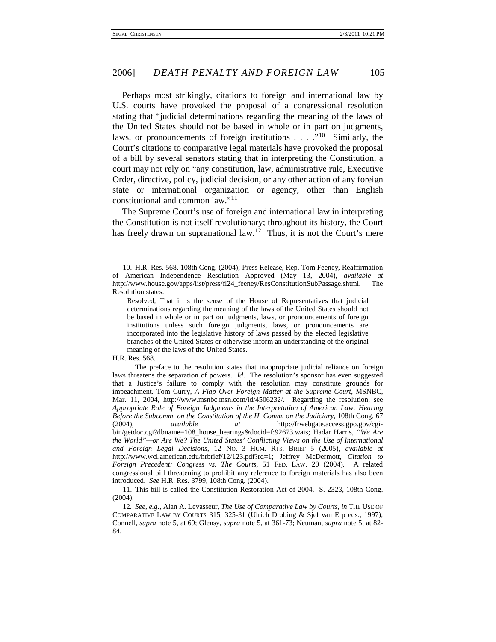Perhaps most strikingly, citations to foreign and international law by U.S. courts have provoked the proposal of a congressional resolution stating that "judicial determinations regarding the meaning of the laws of the United States should not be based in whole or in part on judgments, laws, or pronouncements of foreign institutions . . . ."<sup>[10](#page-5-0)</sup> Similarly, the Court's citations to comparative legal materials have provoked the proposal of a bill by several senators stating that in interpreting the Constitution, a court may not rely on "any constitution, law, administrative rule, Executive Order, directive, policy, judicial decision, or any other action of any foreign state or international organization or agency, other than English constitutional and common law."[11](#page-5-1)

The Supreme Court's use of foreign and international law in interpreting the Constitution is not itself revolutionary; throughout its history, the Court has freely drawn on supranational law.<sup>[12](#page-5-2)</sup> Thus, it is not the Court's mere

<span id="page-5-0"></span><sup>10.</sup> H.R. Res. 568, 108th Cong. (2004); Press Release, Rep. Tom Feeney, Reaffirmation of American Independence Resolution Approved (May 13, 2004), *available at* [http://www.house.gov/apps/list/press/fl24\\_feeney/ResConstitutionSubPassage.shtml.](http://www.house.gov/apps/list/press/fl24_feeney/ResConstitutionSubPassage.html) The Resolution states:

Resolved, That it is the sense of the House of Representatives that judicial determinations regarding the meaning of the laws of the United States should not be based in whole or in part on judgments, laws, or pronouncements of foreign institutions unless such foreign judgments, laws, or pronouncements are incorporated into the legislative history of laws passed by the elected legislative branches of the United States or otherwise inform an understanding of the original meaning of the laws of the United States.

H.R. Res. 568.

The preface to the resolution states that inappropriate judicial reliance on foreign laws threatens the separation of powers. *Id*. The resolution's sponsor has even suggested that a Justice's failure to comply with the resolution may constitute grounds for impeachment. Tom Curry, *A Flap Over Foreign Matter at the Supreme Court*, MSNBC, Mar. 11, 2004, [http://www.msnbc.msn.com/id/4506232/.](http://www.msnbc.msn.com/id/4506232/) Regarding the resolution, see *Appropriate Role of Foreign Judgments in the Interpretation of American Law: Hearing Before the Subcomm. on the Constitution of the H. Comm. on the Judiciary*, 108th Cong. 67 (2004), *available at* http://frwebgate.access.gpo.gov/cgibin/getdoc.cgi?dbname=108\_house\_hearings&docid=f:92673.wais; Hadar Harris, *"We Are the World"—or Are We? The United States' Conflicting Views on the Use of International and Foreign Legal Decisions*, 12 NO. 3 HUM. RTS. BRIEF 5 (2005), *available at* http://www.wcl.american.edu/hrbrief/12/123.pdf?rd=1; Jeffrey McDermott, *Citation to Foreign Precedent: Congress vs. The Courts*, 51 FED. LAW. 20 (2004). A related congressional bill threatening to prohibit any reference to foreign materials has also been introduced. *See* H.R. Res. 3799, 108th Cong. (2004).

<span id="page-5-1"></span><sup>11.</sup> This bill is called the Constitution Restoration Act of 2004. S. 2323, 108th Cong. (2004).

<span id="page-5-2"></span><sup>12</sup>*. See, e.g.*, Alan A. Levasseur, *The Use of Comparative Law by Courts*, *in* THE USE OF COMPARATIVE LAW BY COURTS 315, 325-31 (Ulrich Drobing & Sjef van Erp eds., 1997); Connell, *supra* note 5, at 69; Glensy, *supra* note 5, at 361-73; Neuman, *supra* note 5, at 82- 84.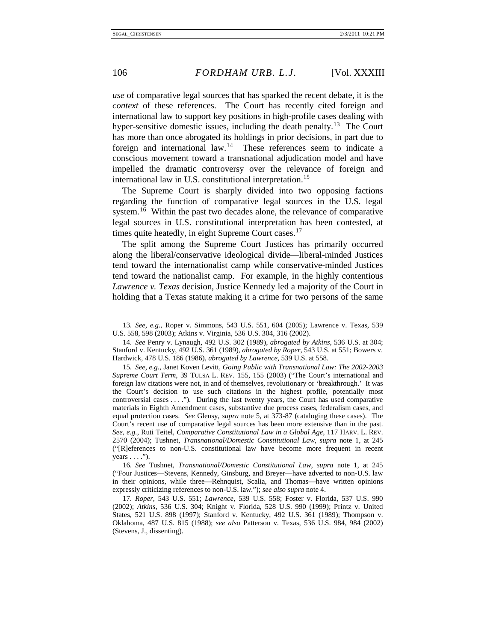*use* of comparative legal sources that has sparked the recent debate, it is the *context* of these references. The Court has recently cited foreign and international law to support key positions in high-profile cases dealing with hyper-sensitive domestic issues, including the death penalty.<sup>13</sup> The Court has more than once abrogated its holdings in prior decisions, in part due to foreign and international law.<sup>14</sup> These references seem to indicate a conscious movement toward a transnational adjudication model and have impelled the dramatic controversy over the relevance of foreign and international law in U.S. constitutional interpretation.<sup>[15](#page-6-2)</sup>

The Supreme Court is sharply divided into two opposing factions regarding the function of comparative legal sources in the U.S. legal system.<sup>[16](#page-6-3)</sup> Within the past two decades alone, the relevance of comparative legal sources in U.S. constitutional interpretation has been contested, at times quite heatedly, in eight Supreme Court cases.<sup>[17](#page-6-4)</sup>

The split among the Supreme Court Justices has primarily occurred along the liberal/conservative ideological divide—liberal-minded Justices tend toward the internationalist camp while conservative-minded Justices tend toward the nationalist camp. For example, in the highly contentious *Lawrence v. Texas* decision, Justice Kennedy led a majority of the Court in holding that a Texas statute making it a crime for two persons of the same

<span id="page-6-3"></span>16*. See* Tushnet, *Transnational/Domestic Constitutional Law*, *supra* note 1, at 245 ("Four Justices—Stevens, Kennedy, Ginsburg, and Breyer—have adverted to non-U.S. law in their opinions, while three—Rehnquist, Scalia, and Thomas—have written opinions expressly criticizing references to non-U.S. law."); *see also supra* note 4.

<span id="page-6-0"></span><sup>13</sup>*. See, e.g.*, Roper v. Simmons, 543 U.S. 551, 604 (2005); Lawrence v. Texas, 539 U.S. 558, 598 (2003); Atkins v. Virginia, 536 U.S. 304, 316 (2002).

<span id="page-6-1"></span><sup>14</sup>*. See* Penry v. Lynaugh, 492 U.S. 302 (1989), *abrogated by Atkins*, 536 U.S. at 304; Stanford v. Kentucky, 492 U.S. 361 (1989), *abrogated by Roper*, 543 U.S. at 551; Bowers v. Hardwick, 478 U.S. 186 (1986), *abrogated by Lawrence,* 539 U.S. at 558.

<span id="page-6-2"></span><sup>15</sup>*. See, e.g.*, Janet Koven Levitt, *Going Public with Transnational Law: The 2002-2003 Supreme Court Term*, 39 TULSA L. REV. 155, 155 (2003) ("The Court's international and foreign law citations were not, in and of themselves, revolutionary or 'breakthrough.' It was the Court's decision to use such citations in the highest profile, potentially most controversial cases . . . ."). During the last twenty years, the Court has used comparative materials in Eighth Amendment cases, substantive due process cases, federalism cases, and equal protection cases. *See* Glensy, *supra* note 5, at 373-87 (cataloging these cases). The Court's recent use of comparative legal sources has been more extensive than in the past. *See, e.g.*, Ruti Teitel, *Comparative Constitutional Law in a Global Age*, 117 HARV. L. REV. 2570 (2004); Tushnet, *Transnational/Domestic Constitutional Law*, *supra* note 1, at 245 ("[R]eferences to non-U.S. constitutional law have become more frequent in recent  $years \ldots$ .").

<span id="page-6-4"></span><sup>17</sup>*. Roper*, 543 U.S. 551; *Lawrence,* 539 U.S. 558; Foster v. Florida, 537 U.S. 990 (2002); *Atkins*, 536 U.S. 304; Knight v. Florida, 528 U.S. 990 (1999); Printz v. United States, 521 U.S. 898 (1997); Stanford v. Kentucky, 492 U.S. 361 (1989); Thompson v. Oklahoma, 487 U.S. 815 (1988); *see also* Patterson v. Texas, 536 U.S. 984, 984 (2002) (Stevens, J., dissenting).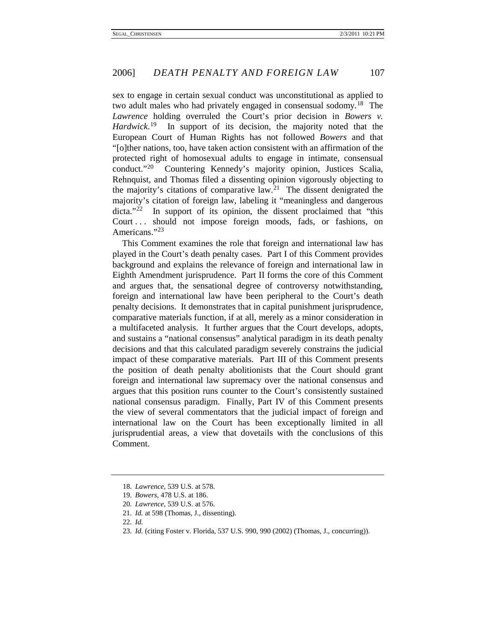sex to engage in certain sexual conduct was unconstitutional as applied to two adult males who had privately engaged in consensual sodomy.<sup>18</sup> The *Lawrence* holding overruled the Court's prior decision in *Bowers v. Hardwick*. In support of its decision, the majority noted that the European Court of Human Rights has not followed *Bowers* and that "[o]ther nations, too, have taken action consistent with an affirmation of the protected right of homosexual adults to engage in intimate, consensual conduct."[20](#page-7-2) Countering Kennedy's majority opinion, Justices Scalia, Rehnquist, and Thomas filed a dissenting opinion vigorously objecting to the majority's citations of comparative law.<sup>[21](#page-7-3)</sup> The dissent denigrated the majority's citation of foreign law, labeling it "meaningless and dangerous  $\text{dicta."}^{22}$  $\text{dicta."}^{22}$  $\text{dicta."}^{22}$  In support of its opinion, the dissent proclaimed that "this Court ... should not impose foreign moods, fads, or fashions, on Americans."[23](#page-7-5)

This Comment examines the role that foreign and international law has played in the Court's death penalty cases. Part I of this Comment provides background and explains the relevance of foreign and international law in Eighth Amendment jurisprudence. Part II forms the core of this Comment and argues that, the sensational degree of controversy notwithstanding, foreign and international law have been peripheral to the Court's death penalty decisions. It demonstrates that in capital punishment jurisprudence, comparative materials function, if at all, merely as a minor consideration in a multifaceted analysis. It further argues that the Court develops, adopts, and sustains a "national consensus" analytical paradigm in its death penalty decisions and that this calculated paradigm severely constrains the judicial impact of these comparative materials. Part III of this Comment presents the position of death penalty abolitionists that the Court should grant foreign and international law supremacy over the national consensus and argues that this position runs counter to the Court's consistently sustained national consensus paradigm. Finally, Part IV of this Comment presents the view of several commentators that the judicial impact of foreign and international law on the Court has been exceptionally limited in all jurisprudential areas, a view that dovetails with the conclusions of this Comment.

<span id="page-7-0"></span><sup>18</sup>*. Lawrence*, 539 U.S. at 578.

<span id="page-7-2"></span><span id="page-7-1"></span><sup>19</sup>*. Bowers*, 478 U.S. at 186.

<sup>20</sup>*. Lawrence*, 539 U.S. at 576.

<span id="page-7-3"></span><sup>21</sup>*. Id.* at 598 (Thomas, J., dissenting).

<span id="page-7-5"></span><span id="page-7-4"></span><sup>22</sup>*. Id.*

<sup>23</sup>*. Id.* (citing Foster v. Florida, 537 U.S. 990, 990 (2002) (Thomas, J., concurring)).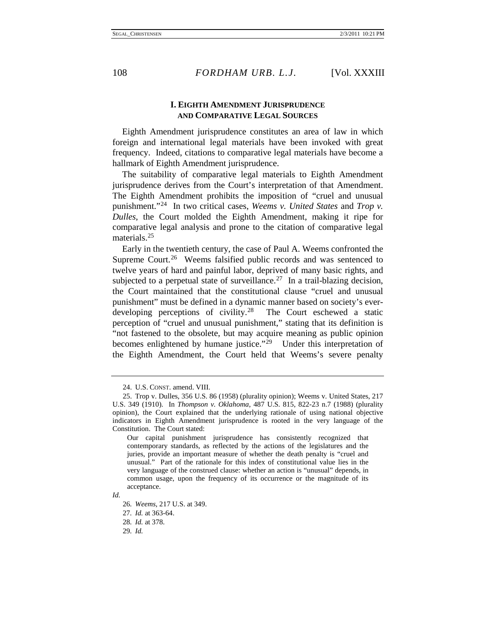#### **I. EIGHTH AMENDMENT JURISPRUDENCE AND COMPARATIVE LEGAL SOURCES**

Eighth Amendment jurisprudence constitutes an area of law in which foreign and international legal materials have been invoked with great frequency. Indeed, citations to comparative legal materials have become a hallmark of Eighth Amendment jurisprudence.

The suitability of comparative legal materials to Eighth Amendment jurisprudence derives from the Court's interpretation of that Amendment. The Eighth Amendment prohibits the imposition of "cruel and unusual punishment."[24](#page-8-0) In two critical cases, *Weems v. United States* and *Trop v. Dulles*, the Court molded the Eighth Amendment, making it ripe for comparative legal analysis and prone to the citation of comparative legal materials.<sup>[25](#page-8-1)</sup>

Early in the twentieth century, the case of Paul A. Weems confronted the Supreme Court.<sup>26</sup> Weems falsified public records and was sentenced to twelve years of hard and painful labor, deprived of many basic rights, and subjected to a perpetual state of surveillance.<sup>27</sup> In a trail-blazing decision, the Court maintained that the constitutional clause "cruel and unusual punishment" must be defined in a dynamic manner based on society's ever-developing perceptions of civility.<sup>[28](#page-8-4)</sup> The Court eschewed a static perception of "cruel and unusual punishment," stating that its definition is "not fastened to the obsolete, but may acquire meaning as public opinion becomes enlightened by humane justice."<sup>[29](#page-8-5)</sup> Under this interpretation of the Eighth Amendment, the Court held that Weems's severe penalty

<sup>24.</sup> U.S. CONST. amend. VIII.

<span id="page-8-1"></span><span id="page-8-0"></span><sup>25.</sup> Trop v. Dulles, 356 U.S. 86 (1958) (plurality opinion); Weems v. United States, 217 U.S. 349 (1910). In *Thompson v. Oklahoma*, 487 U.S. 815, 822-23 n.7 (1988) (plurality opinion), the Court explained that the underlying rationale of using national objective indicators in Eighth Amendment jurisprudence is rooted in the very language of the Constitution. The Court stated:

Our capital punishment jurisprudence has consistently recognized that contemporary standards, as reflected by the actions of the legislatures and the juries, provide an important measure of whether the death penalty is "cruel and unusual." Part of the rationale for this index of constitutional value lies in the very language of the construed clause: whether an action is "unusual" depends, in common usage, upon the frequency of its occurrence or the magnitude of its acceptance.

<span id="page-8-5"></span><span id="page-8-4"></span><span id="page-8-3"></span><span id="page-8-2"></span>*Id.*

<sup>26</sup>*. Weems*, 217 U.S. at 349.

<sup>27</sup>*. Id.* at 363-64.

<sup>28</sup>*. Id.* at 378.

<sup>29</sup>*. Id.*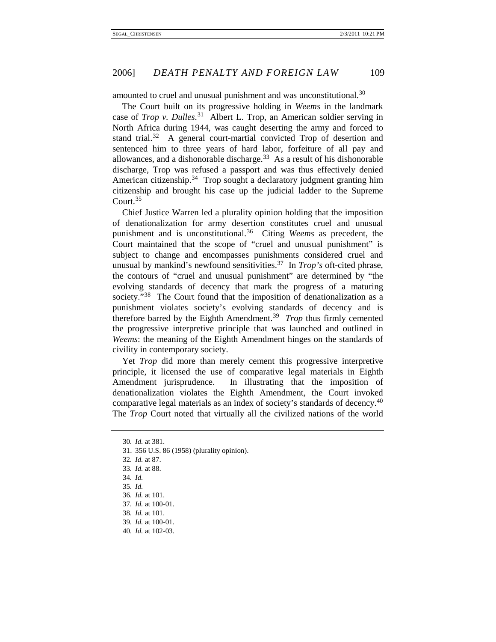amounted to cruel and unusual punishment and was unconstitutional.<sup>[30](#page-9-0)</sup>

The Court built on its progressive holding in *Weems* in the landmark case of *Trop v. Dulles*. [31](#page-9-1) Albert L. Trop, an American soldier serving in North Africa during 1944, was caught deserting the army and forced to stand trial. $32$  A general court-martial convicted Trop of desertion and sentenced him to three years of hard labor, forfeiture of all pay and allowances, and a dishonorable discharge. $33$  As a result of his dishonorable discharge, Trop was refused a passport and was thus effectively denied American citizenship.<sup>[34](#page-9-4)</sup> Trop sought a declaratory judgment granting him citizenship and brought his case up the judicial ladder to the Supreme Court.<sup>[35](#page-9-5)</sup>

Chief Justice Warren led a plurality opinion holding that the imposition of denationalization for army desertion constitutes cruel and unusual punishment and is unconstitutional.[36](#page-9-6) Citing *Weems* as precedent, the Court maintained that the scope of "cruel and unusual punishment" is subject to change and encompasses punishments considered cruel and unusual by mankind's newfound sensitivities.[37](#page-9-7) In *Trop's* oft-cited phrase, the contours of "cruel and unusual punishment" are determined by "the evolving standards of decency that mark the progress of a maturing society."<sup>[38](#page-9-8)</sup> The Court found that the imposition of denationalization as a punishment violates society's evolving standards of decency and is therefore barred by the Eighth Amendment.<sup>[39](#page-9-9)</sup> *Trop* thus firmly cemented the progressive interpretive principle that was launched and outlined in *Weems*: the meaning of the Eighth Amendment hinges on the standards of civility in contemporary society.

Yet *Trop* did more than merely cement this progressive interpretive principle, it licensed the use of comparative legal materials in Eighth Amendment jurisprudence. In illustrating that the imposition of denationalization violates the Eighth Amendment, the Court invoked comparative legal materials as an index of society's standards of decency. [40](#page-9-10) The *Trop* Court noted that virtually all the civilized nations of the world

<span id="page-9-0"></span><sup>30</sup>*. Id.* at 381.

<span id="page-9-1"></span><sup>31.</sup> 356 U.S. 86 (1958) (plurality opinion).

<span id="page-9-2"></span><sup>32</sup>*. Id.* at 87.

<span id="page-9-3"></span><sup>33</sup>*. Id.* at 88.

<span id="page-9-4"></span><sup>34</sup>*. Id.*

<span id="page-9-5"></span><sup>35</sup>*. Id.*

<span id="page-9-6"></span><sup>36</sup>*. Id.* at 101.

<span id="page-9-7"></span><sup>37</sup>*. Id.* at 100-01.

<span id="page-9-8"></span><sup>38</sup>*. Id.* at 101.

<span id="page-9-9"></span><sup>39</sup>*. Id.* at 100-01.

<span id="page-9-10"></span><sup>40</sup>*. Id.* at 102-03.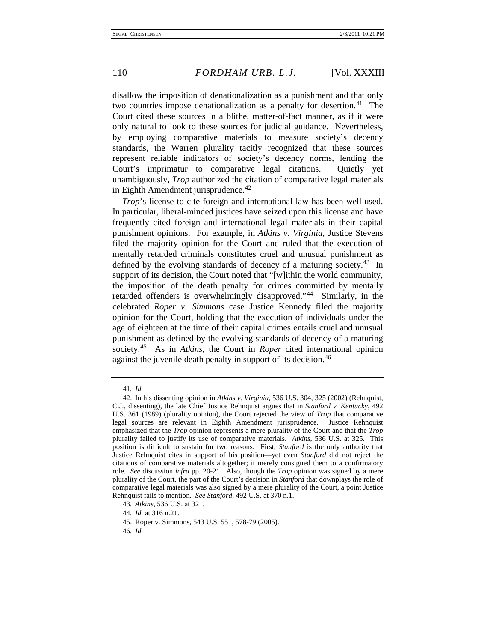disallow the imposition of denationalization as a punishment and that only two countries impose denationalization as a penalty for desertion.<sup>41</sup> The Court cited these sources in a blithe, matter-of-fact manner, as if it were only natural to look to these sources for judicial guidance. Nevertheless, by employing comparative materials to measure society's decency standards, the Warren plurality tacitly recognized that these sources represent reliable indicators of society's decency norms, lending the Court's imprimatur to comparative legal citations. Quietly yet unambiguously, *Trop* authorized the citation of comparative legal materials in Eighth Amendment jurisprudence. $42$ 

*Trop*'s license to cite foreign and international law has been well-used. In particular, liberal-minded justices have seized upon this license and have frequently cited foreign and international legal materials in their capital punishment opinions. For example, in *Atkins v. Virginia*, Justice Stevens filed the majority opinion for the Court and ruled that the execution of mentally retarded criminals constitutes cruel and unusual punishment as defined by the evolving standards of decency of a maturing society.<sup>[43](#page-10-2)</sup> In support of its decision, the Court noted that "[w]ithin the world community, the imposition of the death penalty for crimes committed by mentally retarded offenders is overwhelmingly disapproved."[44](#page-10-3) Similarly, in the celebrated *Roper v. Simmons* case Justice Kennedy filed the majority opinion for the Court, holding that the execution of individuals under the age of eighteen at the time of their capital crimes entails cruel and unusual punishment as defined by the evolving standards of decency of a maturing society.[45](#page-10-4) As in *Atkins*, the Court in *Roper* cited international opinion against the juvenile death penalty in support of its decision.<sup>[46](#page-10-5)</sup>

<sup>41</sup>*. Id.*

<span id="page-10-1"></span><span id="page-10-0"></span><sup>42.</sup> In his dissenting opinion in *Atkins v. Virginia*, 536 U.S. 304, 325 (2002) (Rehnquist, C.J., dissenting), the late Chief Justice Rehnquist argues that in *Stanford v. Kentucky*, 492 U.S. 361 (1989) (plurality opinion), the Court rejected the view of *Trop* that comparative legal sources are relevant in Eighth Amendment jurisprudence. Justice Rehnquist emphasized that the *Trop* opinion represents a mere plurality of the Court and that the *Trop*  plurality failed to justify its use of comparative materials. *Atkins*, 536 U.S. at 325. This position is difficult to sustain for two reasons. First, *Stanford* is the only authority that Justice Rehnquist cites in support of his position—yet even *Stanford* did not reject the citations of comparative materials altogether; it merely consigned them to a confirmatory role. *See* discussion *infra* pp. 20-21. Also, though the *Trop* opinion was signed by a mere plurality of the Court, the part of the Court's decision in *Stanford* that downplays the role of comparative legal materials was also signed by a mere plurality of the Court, a point Justice Rehnquist fails to mention. *See Stanford*, 492 U.S. at 370 n.1.

<span id="page-10-2"></span><sup>43</sup>*. Atkins*, 536 U.S. at 321.

<span id="page-10-3"></span><sup>44</sup>*. Id.* at 316 n.21.

<span id="page-10-5"></span><span id="page-10-4"></span><sup>45.</sup> Roper v. Simmons, 543 U.S. 551, 578-79 (2005).

<sup>46</sup>*. Id.*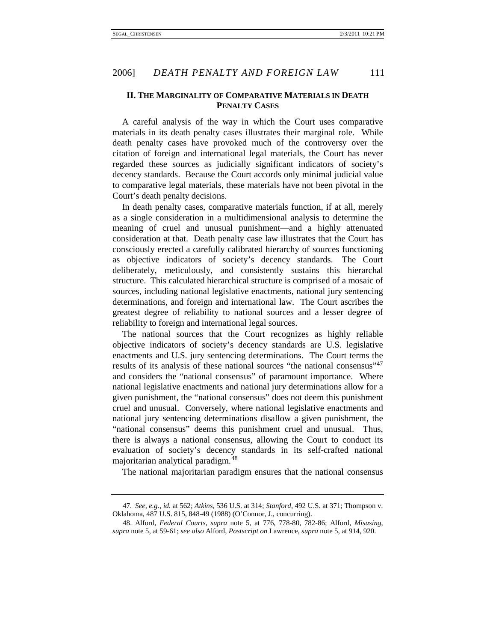#### **II. THE MARGINALITY OF COMPARATIVE MATERIALS IN DEATH PENALTY CASES**

A careful analysis of the way in which the Court uses comparative materials in its death penalty cases illustrates their marginal role. While death penalty cases have provoked much of the controversy over the citation of foreign and international legal materials, the Court has never regarded these sources as judicially significant indicators of society's decency standards. Because the Court accords only minimal judicial value to comparative legal materials, these materials have not been pivotal in the Court's death penalty decisions.

In death penalty cases, comparative materials function, if at all, merely as a single consideration in a multidimensional analysis to determine the meaning of cruel and unusual punishment—and a highly attenuated consideration at that. Death penalty case law illustrates that the Court has consciously erected a carefully calibrated hierarchy of sources functioning as objective indicators of society's decency standards. The Court deliberately, meticulously, and consistently sustains this hierarchal structure. This calculated hierarchical structure is comprised of a mosaic of sources, including national legislative enactments, national jury sentencing determinations, and foreign and international law. The Court ascribes the greatest degree of reliability to national sources and a lesser degree of reliability to foreign and international legal sources.

The national sources that the Court recognizes as highly reliable objective indicators of society's decency standards are U.S. legislative enactments and U.S. jury sentencing determinations. The Court terms the results of its analysis of these national sources "the national consensus"<sup>[47](#page-11-0)</sup> and considers the "national consensus" of paramount importance. Where national legislative enactments and national jury determinations allow for a given punishment, the "national consensus" does not deem this punishment cruel and unusual. Conversely, where national legislative enactments and national jury sentencing determinations disallow a given punishment, the "national consensus" deems this punishment cruel and unusual. Thus, there is always a national consensus, allowing the Court to conduct its evaluation of society's decency standards in its self-crafted national majoritarian analytical paradigm.[48](#page-11-1)

The national majoritarian paradigm ensures that the national consensus

<span id="page-11-0"></span><sup>47</sup>*. See, e.g*., *id.* at 562; *Atkins*, 536 U.S. at 314; *Stanford*, 492 U.S. at 371; Thompson v. Oklahoma, 487 U.S. 815, 848-49 (1988) (O'Connor, J., concurring).

<span id="page-11-1"></span><sup>48.</sup> Alford, *Federal Courts*, *supra* note 5, at 776, 778-80, 782-86; Alford, *Misusing*, *supra* note 5, at 59-61; *see also* Alford, *Postscript on* Lawrence, *supra* note 5, at 914, 920.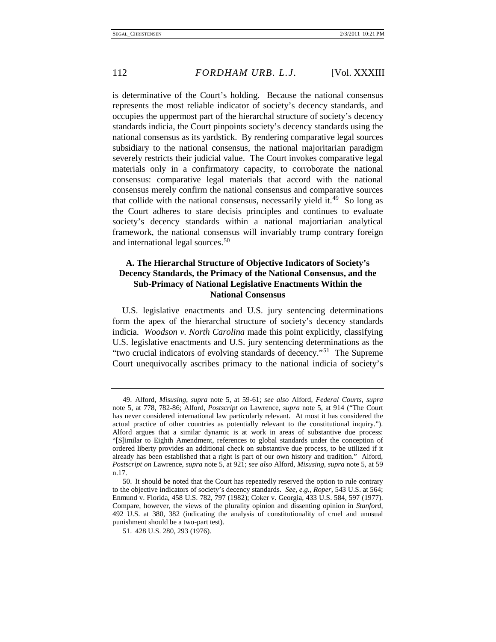is determinative of the Court's holding. Because the national consensus represents the most reliable indicator of society's decency standards, and occupies the uppermost part of the hierarchal structure of society's decency standards indicia, the Court pinpoints society's decency standards using the national consensus as its yardstick. By rendering comparative legal sources subsidiary to the national consensus, the national majoritarian paradigm severely restricts their judicial value. The Court invokes comparative legal materials only in a confirmatory capacity, to corroborate the national consensus: comparative legal materials that accord with the national consensus merely confirm the national consensus and comparative sources that collide with the national consensus, necessarily yield it.<sup>[49](#page-12-0)</sup> So long as the Court adheres to stare decisis principles and continues to evaluate society's decency standards within a national majortiarian analytical framework, the national consensus will invariably trump contrary foreign and international legal sources.<sup>[50](#page-12-1)</sup>

### **A. The Hierarchal Structure of Objective Indicators of Society's Decency Standards, the Primacy of the National Consensus, and the Sub-Primacy of National Legislative Enactments Within the National Consensus**

U.S. legislative enactments and U.S. jury sentencing determinations form the apex of the hierarchal structure of society's decency standards indicia. *Woodson v. North Carolina* made this point explicitly, classifying U.S. legislative enactments and U.S. jury sentencing determinations as the "two crucial indicators of evolving standards of decency."<sup>[51](#page-12-2)</sup> The Supreme Court unequivocally ascribes primacy to the national indicia of society's

<span id="page-12-0"></span><sup>49.</sup> Alford, *Misusing*, *supra* note 5, at 59-61; *see also* Alford, *Federal Courts*, *supra* note 5, at 778, 782-86; Alford, *Postscript on* Lawrence, *supra* note 5, at 914 ("The Court has never considered international law particularly relevant. At most it has considered the actual practice of other countries as potentially relevant to the constitutional inquiry."). Alford argues that a similar dynamic is at work in areas of substantive due process: "[S]imilar to Eighth Amendment, references to global standards under the conception of ordered liberty provides an additional check on substantive due process, to be utilized if it already has been established that a right is part of our own history and tradition." Alford, *Postscript on* Lawrence, *supra* note 5, at 921; *see also* Alford, *Misusing*, *supra* note 5, at 59 n.17.

<span id="page-12-1"></span><sup>50.</sup> It should be noted that the Court has repeatedly reserved the option to rule contrary to the objective indicators of society's decency standards. *See, e.g.*, *Roper*, 543 U.S. at 564; Enmund v. Florida, 458 U.S. 782, 797 (1982); Coker v. Georgia, 433 U.S. 584, 597 (1977). Compare, however, the views of the plurality opinion and dissenting opinion in *Stanford*, 492 U.S. at 380, 382 (indicating the analysis of constitutionality of cruel and unusual punishment should be a two-part test).

<span id="page-12-2"></span><sup>51.</sup> 428 U.S. 280, 293 (1976).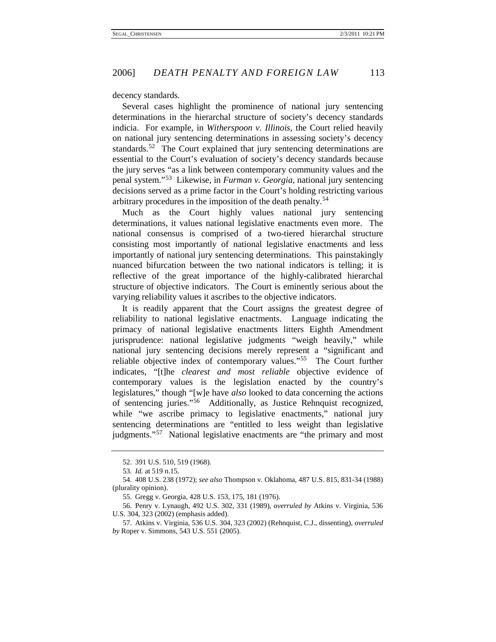decency standards.

Several cases highlight the prominence of national jury sentencing determinations in the hierarchal structure of society's decency standards indicia. For example, in *Witherspoon v. Illinois*, the Court relied heavily on national jury sentencing determinations in assessing society's decency standards.<sup>[52](#page-13-0)</sup> The Court explained that jury sentencing determinations are essential to the Court's evaluation of society's decency standards because the jury serves "as a link between contemporary community values and the penal system."[53](#page-13-1) Likewise, in *Furman v. Georgia,* national jury sentencing decisions served as a prime factor in the Court's holding restricting various arbitrary procedures in the imposition of the death penalty.<sup>[54](#page-13-2)</sup>

Much as the Court highly values national jury sentencing determinations, it values national legislative enactments even more. The national consensus is comprised of a two-tiered hierarchal structure consisting most importantly of national legislative enactments and less importantly of national jury sentencing determinations. This painstakingly nuanced bifurcation between the two national indicators is telling; it is reflective of the great importance of the highly-calibrated hierarchal structure of objective indicators. The Court is eminently serious about the varying reliability values it ascribes to the objective indicators.

It is readily apparent that the Court assigns the greatest degree of reliability to national legislative enactments. Language indicating the primacy of national legislative enactments litters Eighth Amendment jurisprudence: national legislative judgments "weigh heavily," while national jury sentencing decisions merely represent a "significant and reliable objective index of contemporary values."[55](#page-13-3) The Court further indicates, "[t]he *clearest and most reliable* objective evidence of contemporary values is the legislation enacted by the country's legislatures," though "[w]e have *also* looked to data concerning the actions of sentencing juries."[56](#page-13-4) Additionally, as Justice Rehnquist recognized, while "we ascribe primacy to legislative enactments," national jury sentencing determinations are "entitled to less weight than legislative judgments."<sup>[57](#page-13-5)</sup> National legislative enactments are "the primary and most

<sup>52.</sup> 391 U.S. 510, 519 (1968).

<sup>53</sup>*. Id.* at 519 n.15.

<span id="page-13-2"></span><span id="page-13-1"></span><span id="page-13-0"></span><sup>54.</sup> 408 U.S. 238 (1972); *see also* Thompson v. Oklahoma, 487 U.S. 815, 831-34 (1988) (plurality opinion).

<sup>55.</sup> Gregg v. Georgia, 428 U.S. 153, 175, 181 (1976).

<span id="page-13-4"></span><span id="page-13-3"></span><sup>56.</sup> Penry v. Lynaugh, 492 U.S. 302, 331 (1989), *overruled by* Atkins v. Virginia, 536 U.S. 304, 323 (2002) (emphasis added).

<span id="page-13-5"></span><sup>57.</sup> Atkins v. Virginia, 536 U.S. 304, 323 (2002) (Rehnquist, C.J., dissenting), *overruled by* Roper v. Simmons, 543 U.S. 551 (2005).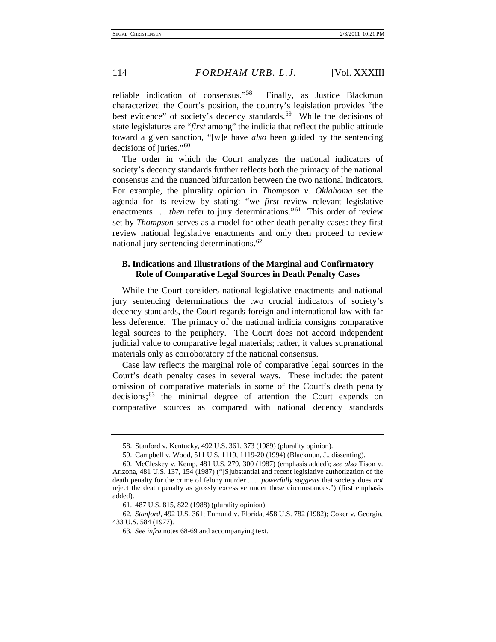reliable indication of consensus."[58](#page-14-0) Finally, as Justice Blackmun characterized the Court's position, the country's legislation provides "the best evidence" of society's decency standards.<sup>[59](#page-14-1)</sup> While the decisions of state legislatures are "*first* among" the indicia that reflect the public attitude toward a given sanction, "[w]e have *also* been guided by the sentencing decisions of juries."[60](#page-14-2)

The order in which the Court analyzes the national indicators of society's decency standards further reflects both the primacy of the national consensus and the nuanced bifurcation between the two national indicators. For example, the plurality opinion in *Thompson v. Oklahoma* set the agenda for its review by stating: "we *first* review relevant legislative enactments . . . *then* refer to jury determinations."<sup>61</sup> This order of review set by *Thompson* serves as a model for other death penalty cases: they first review national legislative enactments and only then proceed to review national jury sentencing determinations. $62$ 

#### **B. Indications and Illustrations of the Marginal and Confirmatory Role of Comparative Legal Sources in Death Penalty Cases**

While the Court considers national legislative enactments and national jury sentencing determinations the two crucial indicators of society's decency standards, the Court regards foreign and international law with far less deference. The primacy of the national indicia consigns comparative legal sources to the periphery. The Court does not accord independent judicial value to comparative legal materials; rather, it values supranational materials only as corroboratory of the national consensus.

Case law reflects the marginal role of comparative legal sources in the Court's death penalty cases in several ways. These include: the patent omission of comparative materials in some of the Court's death penalty decisions;<sup>[63](#page-14-5)</sup> the minimal degree of attention the Court expends on comparative sources as compared with national decency standards

<sup>58.</sup> Stanford v. Kentucky, 492 U.S. 361, 373 (1989) (plurality opinion).

<sup>59.</sup> Campbell v. Wood, 511 U.S. 1119, 1119-20 (1994) (Blackmun, J., dissenting).

<span id="page-14-2"></span><span id="page-14-1"></span><span id="page-14-0"></span><sup>60.</sup> McCleskey v. Kemp, 481 U.S. 279, 300 (1987) (emphasis added); *see also* Tison v. Arizona, 481 U.S. 137, 154 (1987) ("[S]ubstantial and recent legislative authorization of the death penalty for the crime of felony murder . . . *powerfully suggests* that society does *not* reject the death penalty as grossly excessive under these circumstances.") (first emphasis added).

<sup>61.</sup> 487 U.S. 815, 822 (1988) (plurality opinion).

<span id="page-14-5"></span><span id="page-14-4"></span><span id="page-14-3"></span><sup>62</sup>*. Stanford*, 492 U.S. 361; Enmund v. Florida, 458 U.S. 782 (1982); Coker v. Georgia, 433 U.S. 584 (1977).

<sup>63</sup>*. See infra* note[s 68](#page-15-0)[-69](#page-15-1) and accompanying text.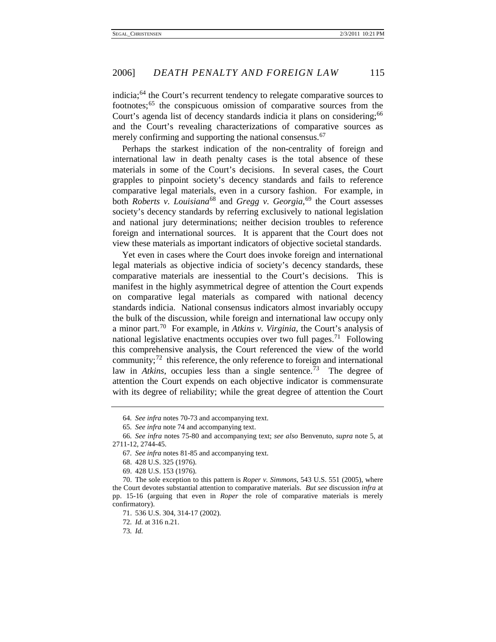indicia;<sup>[64](#page-15-4)</sup> the Court's recurrent tendency to relegate comparative sources to footnotes;[65](#page-15-5) the conspicuous omission of comparative sources from the Court's agenda list of decency standards indicia it plans on considering;<sup>[66](#page-15-6)</sup> and the Court's revealing characterizations of comparative sources as merely confirming and supporting the national consensus.<sup>[67](#page-15-7)</sup>

<span id="page-15-0"></span>Perhaps the starkest indication of the non-centrality of foreign and international law in death penalty cases is the total absence of these materials in some of the Court's decisions. In several cases, the Court grapples to pinpoint society's decency standards and fails to reference comparative legal materials, even in a cursory fashion. For example, in both *Roberts v. Louisiana*<sup>[68](#page-15-8)</sup> and *Gregg v. Georgia*,<sup>[69](#page-15-9)</sup> the Court assesses society's decency standards by referring exclusively to national legislation and national jury determinations; neither decision troubles to reference foreign and international sources. It is apparent that the Court does not view these materials as important indicators of objective societal standards.

<span id="page-15-2"></span>Yet even in cases where the Court does invoke foreign and international legal materials as objective indicia of society's decency standards, these comparative materials are inessential to the Court's decisions. This is manifest in the highly asymmetrical degree of attention the Court expends on comparative legal materials as compared with national decency standards indicia. National consensus indicators almost invariably occupy the bulk of the discussion, while foreign and international law occupy only a minor part. [70](#page-15-10) For example, in *Atkins v. Virginia*, the Court's analysis of national legislative enactments occupies over two full pages.<sup>[71](#page-15-11)</sup> Following this comprehensive analysis, the Court referenced the view of the world community;<sup>[72](#page-15-12)</sup> this reference, the only reference to foreign and international law in *Atkins*, occupies less than a single sentence.<sup>[73](#page-15-13)</sup> The degree of attention the Court expends on each objective indicator is commensurate with its degree of reliability; while the great degree of attention the Court

<span id="page-15-1"></span>

<span id="page-15-3"></span><sup>64</sup>*. See infra* notes [70](#page-15-2)[-73](#page-15-3) and accompanying text.

<sup>65</sup>*. See infra* note [74](#page-16-0) and accompanying text.

<span id="page-15-7"></span><span id="page-15-6"></span><span id="page-15-5"></span><span id="page-15-4"></span><sup>66</sup>*. See infra* notes [75](#page-16-1)[-80](#page-16-2) and accompanying text; *see also* Benvenuto, *supra* note 5, at 2711-12, 2744-45.

<sup>67</sup>*. See infra* note[s 81](#page-17-0)[-85](#page-17-1) and accompanying text.

<sup>68.</sup> 428 U.S. 325 (1976).

<sup>69.</sup> 428 U.S. 153 (1976).

<span id="page-15-12"></span><span id="page-15-11"></span><span id="page-15-10"></span><span id="page-15-9"></span><span id="page-15-8"></span><sup>70.</sup> The sole exception to this pattern is *Roper v. Simmons*, 543 U.S. 551 (2005), where the Court devotes substantial attention to comparative materials. *But see* discussion *infra* at pp. 15-16 (arguing that even in *Roper* the role of comparative materials is merely confirmatory).

<sup>71.</sup> 536 U.S. 304, 314-17 (2002).

<sup>72</sup>*. Id.* at 316 n.21.

<span id="page-15-13"></span><sup>73</sup>*. Id.*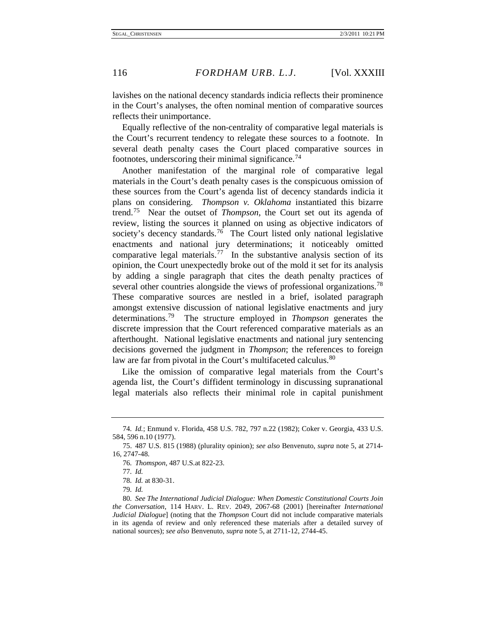lavishes on the national decency standards indicia reflects their prominence in the Court's analyses, the often nominal mention of comparative sources reflects their unimportance.

Equally reflective of the non-centrality of comparative legal materials is the Court's recurrent tendency to relegate these sources to a footnote. In several death penalty cases the Court placed comparative sources in footnotes, underscoring their minimal significance.<sup>[74](#page-16-3)</sup>

<span id="page-16-1"></span><span id="page-16-0"></span>Another manifestation of the marginal role of comparative legal materials in the Court's death penalty cases is the conspicuous omission of these sources from the Court's agenda list of decency standards indicia it plans on considering. *Thompson v. Oklahoma* instantiated this bizarre trend.[75](#page-16-4) Near the outset of *Thompson*, the Court set out its agenda of review, listing the sources it planned on using as objective indicators of society's decency standards.<sup>76</sup> The Court listed only national legislative enactments and national jury determinations; it noticeably omitted comparative legal materials.<sup>77</sup> In the substantive analysis section of its opinion, the Court unexpectedly broke out of the mold it set for its analysis by adding a single paragraph that cites the death penalty practices of several other countries alongside the views of professional organizations.<sup>78</sup> These comparative sources are nestled in a brief, isolated paragraph amongst extensive discussion of national legislative enactments and jury determinations.[79](#page-16-8) The structure employed in *Thompson* generates the discrete impression that the Court referenced comparative materials as an afterthought. National legislative enactments and national jury sentencing decisions governed the judgment in *Thompson*; the references to foreign law are far from pivotal in the Court's multifaceted calculus.<sup>[80](#page-16-9)</sup>

<span id="page-16-2"></span>Like the omission of comparative legal materials from the Court's agenda list, the Court's diffident terminology in discussing supranational legal materials also reflects their minimal role in capital punishment

<span id="page-16-3"></span><sup>74</sup>*. Id.*; Enmund v. Florida, 458 U.S. 782, 797 n.22 (1982); Coker v. Georgia, 433 U.S. 584, 596 n.10 (1977).

<span id="page-16-6"></span><span id="page-16-5"></span><span id="page-16-4"></span><sup>75.</sup> 487 U.S. 815 (1988) (plurality opinion); *see also* Benvenuto, *supra* note 5, at 2714- 16, 2747-48.

<sup>76</sup>*. Thomspon*, 487 U.S*.*at 822-23.

<sup>77</sup>*. Id.*

<sup>78</sup>*. Id.* at 830-31.

<sup>79</sup>*. Id.*

<span id="page-16-9"></span><span id="page-16-8"></span><span id="page-16-7"></span><sup>80</sup>*. See The International Judicial Dialogue: When Domestic Constitutional Courts Join the Conversation*, 114 HARV. L. REV. 2049, 2067-68 (2001) [hereinafter *International Judicial Dialogue*] (noting that the *Thompson* Court did not include comparative materials in its agenda of review and only referenced these materials after a detailed survey of national sources); *see also* Benvenuto, *supra* note 5, at 2711-12, 2744-45.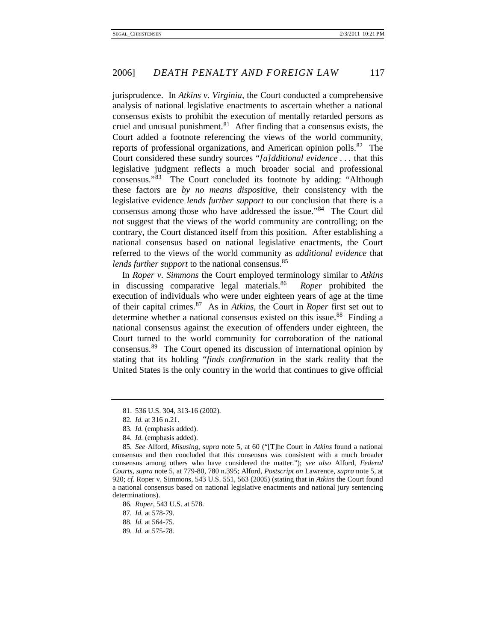<span id="page-17-0"></span>jurisprudence. In *Atkins v. Virginia*, the Court conducted a comprehensive analysis of national legislative enactments to ascertain whether a national consensus exists to prohibit the execution of mentally retarded persons as cruel and unusual punishment. $81$  After finding that a consensus exists, the Court added a footnote referencing the views of the world community, reports of professional organizations, and American opinion polls.<sup>82</sup> The Court considered these sundry sources "*[a]dditional evidence* . . . that this legislative judgment reflects a much broader social and professional consensus."[83](#page-17-4) The Court concluded its footnote by adding: "Although these factors are *by no means dispositive*, their consistency with the legislative evidence *lends further support* to our conclusion that there is a consensus among those who have addressed the issue."<sup>[84](#page-17-5)</sup> The Court did not suggest that the views of the world community are controlling; on the contrary, the Court distanced itself from this position. After establishing a national consensus based on national legislative enactments, the Court referred to the views of the world community as *additional evidence* that *lends further support* to the national consensus.<sup>[85](#page-17-6)</sup>

<span id="page-17-1"></span>In *Roper v. Simmons* the Court employed terminology similar to *Atkins*  in discussing comparative legal materials.[86](#page-17-7) *Roper* prohibited the execution of individuals who were under eighteen years of age at the time of their capital crimes.[87](#page-17-8) As in *Atkins*, the Court in *Roper* first set out to determine whether a national consensus existed on this issue.<sup>[88](#page-17-9)</sup> Finding a national consensus against the execution of offenders under eighteen, the Court turned to the world community for corroboration of the national consensus.[89](#page-17-10) The Court opened its discussion of international opinion by stating that its holding "*finds confirmation* in the stark reality that the United States is the only country in the world that continues to give official

- 83*. Id.* (emphasis added).
- 84*. Id.* (emphasis added).

<sup>81.</sup> 536 U.S. 304, 313-16 (2002).

<sup>82</sup>*. Id.* at 316 n.21.

<span id="page-17-6"></span><span id="page-17-5"></span><span id="page-17-4"></span><span id="page-17-3"></span><span id="page-17-2"></span><sup>85</sup>*. See* Alford, *Misusing*, *supra* note 5, at 60 ("[T]he Court in *Atkins* found a national consensus and then concluded that this consensus was consistent with a much broader consensus among others who have considered the matter."); *see also* Alford, *Federal Courts*, *supra* note 5, at 779-80, 780 n.395; Alford, *Postscript on* Lawrence, *supra* note 5, at 920; *cf.* Roper v. Simmons, 543 U.S. 551, 563 (2005) (stating that in *Atkins* the Court found a national consensus based on national legislative enactments and national jury sentencing determinations).

<span id="page-17-7"></span><sup>86</sup>*. Roper*, 543 U.S. at 578.

<span id="page-17-8"></span><sup>87</sup>*. Id.* at 578-79.

<span id="page-17-9"></span><sup>88</sup>*. Id.* at 564-75.

<span id="page-17-10"></span><sup>89</sup>*. Id.* at 575-78.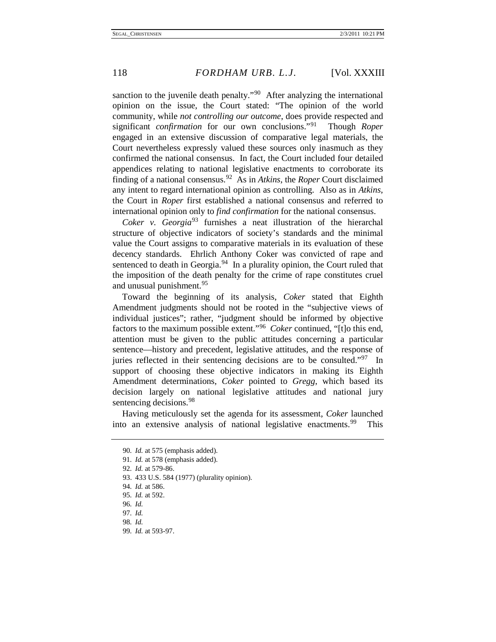sanction to the juvenile death penalty.<sup> $\frac{90}{90}$ </sup> After analyzing the international opinion on the issue, the Court stated: "The opinion of the world community, while *not controlling our outcome*, does provide respected and significant *confirmation* for our own conclusions."[91](#page-18-1) Though *Roper*  engaged in an extensive discussion of comparative legal materials, the Court nevertheless expressly valued these sources only inasmuch as they confirmed the national consensus. In fact, the Court included four detailed appendices relating to national legislative enactments to corroborate its finding of a national consensus.[92](#page-18-2) As in *Atkins*, the *Roper* Court disclaimed any intent to regard international opinion as controlling. Also as in *Atkins*, the Court in *Roper* first established a national consensus and referred to international opinion only to *find confirmation* for the national consensus.

*Coker v. Georgia* [93](#page-18-3) furnishes a neat illustration of the hierarchal structure of objective indicators of society's standards and the minimal value the Court assigns to comparative materials in its evaluation of these decency standards. Ehrlich Anthony Coker was convicted of rape and sentenced to death in Georgia. $94$  In a plurality opinion, the Court ruled that the imposition of the death penalty for the crime of rape constitutes cruel and unusual punishment.<sup>[95](#page-18-5)</sup>

Toward the beginning of its analysis, *Coker* stated that Eighth Amendment judgments should not be rooted in the "subjective views of individual justices"; rather, "judgment should be informed by objective factors to the maximum possible extent."[96](#page-18-6) *Coker* continued, "[t]o this end, attention must be given to the public attitudes concerning a particular sentence—history and precedent, legislative attitudes, and the response of juries reflected in their sentencing decisions are to be consulted."<sup>97</sup> In support of choosing these objective indicators in making its Eighth Amendment determinations, *Coker* pointed to *Gregg*, which based its decision largely on national legislative attitudes and national jury sentencing decisions.<sup>[98](#page-18-8)</sup>

<span id="page-18-1"></span><span id="page-18-0"></span>Having meticulously set the agenda for its assessment, *Coker* launched into an extensive analysis of national legislative enactments.<sup>[99](#page-18-9)</sup> This

<sup>90</sup>*. Id.* at 575 (emphasis added).

<sup>91</sup>*. Id.* at 578 (emphasis added).

<sup>92</sup>*. Id.* at 579-86.

<span id="page-18-4"></span><span id="page-18-3"></span><span id="page-18-2"></span><sup>93.</sup> 433 U.S. 584 (1977) (plurality opinion).

<sup>94</sup>*. Id.* at 586.

<span id="page-18-5"></span><sup>95</sup>*. Id.* at 592.

<sup>96</sup>*. Id.*

<span id="page-18-8"></span><span id="page-18-7"></span><span id="page-18-6"></span><sup>97</sup>*. Id.*

<sup>98</sup>*. Id.*

<span id="page-18-9"></span><sup>99</sup>*. Id.* at 593-97.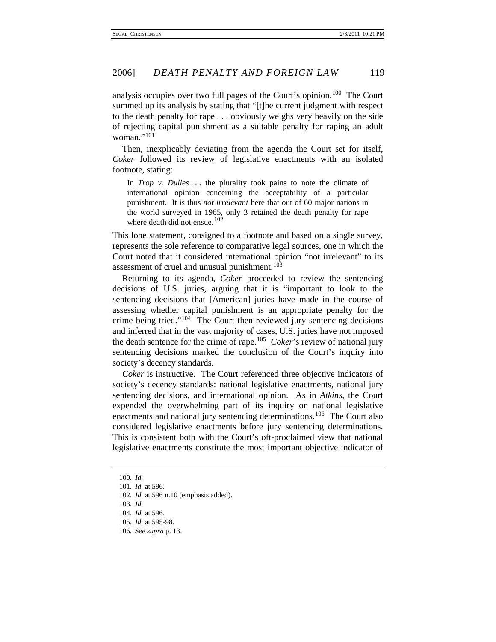analysis occupies over two full pages of the Court's opinion.<sup>100</sup> The Court summed up its analysis by stating that "[t]he current judgment with respect to the death penalty for rape . . . obviously weighs very heavily on the side of rejecting capital punishment as a suitable penalty for raping an adult woman."<sup>[101](#page-19-1)</sup>

Then, inexplicably deviating from the agenda the Court set for itself, *Coker* followed its review of legislative enactments with an isolated footnote, stating:

In *Trop v. Dulles* ... the plurality took pains to note the climate of international opinion concerning the acceptability of a particular punishment. It is thus *not irrelevant* here that out of 60 major nations in the world surveyed in 1965, only 3 retained the death penalty for rape where death did not ensue.<sup>[102](#page-19-2)</sup>

This lone statement, consigned to a footnote and based on a single survey, represents the sole reference to comparative legal sources, one in which the Court noted that it considered international opinion "not irrelevant" to its assessment of cruel and unusual punishment.<sup>[103](#page-19-3)</sup>

Returning to its agenda, *Coker* proceeded to review the sentencing decisions of U.S. juries, arguing that it is "important to look to the sentencing decisions that [American] juries have made in the course of assessing whether capital punishment is an appropriate penalty for the crime being tried."[104](#page-19-4) The Court then reviewed jury sentencing decisions and inferred that in the vast majority of cases, U.S. juries have not imposed the death sentence for the crime of rape.[105](#page-19-5)  *Coker*'s review of national jury sentencing decisions marked the conclusion of the Court's inquiry into society's decency standards.

*Coker* is instructive. The Court referenced three objective indicators of society's decency standards: national legislative enactments, national jury sentencing decisions, and international opinion. As in *Atkins*, the Court expended the overwhelming part of its inquiry on national legislative enactments and national jury sentencing determinations.<sup>[106](#page-19-6)</sup> The Court also considered legislative enactments before jury sentencing determinations. This is consistent both with the Court's oft-proclaimed view that national legislative enactments constitute the most important objective indicator of

<sup>100</sup>*. Id.*

<span id="page-19-2"></span><span id="page-19-1"></span><span id="page-19-0"></span><sup>101</sup>*. Id.* at 596.

<sup>102</sup>*. Id.* at 596 n.10 (emphasis added).

<span id="page-19-3"></span><sup>103</sup>*. Id.*

<span id="page-19-4"></span><sup>104</sup>*. Id.* at 596.

<span id="page-19-5"></span><sup>105</sup>*. Id.* at 595-98.

<span id="page-19-6"></span><sup>106</sup>*. See supra* p. 13.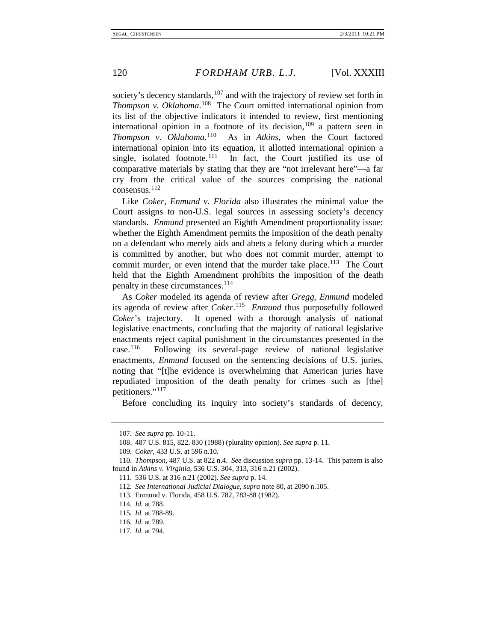society's decency standards, $107$  and with the trajectory of review set forth in *Thompson v. Oklahoma*. [108](#page-20-1) The Court omitted international opinion from its list of the objective indicators it intended to review, first mentioning international opinion in a footnote of its decision, $109$  a pattern seen in *Thompson v. Oklahoma*. As in *Atkins*, when the Court factored international opinion into its equation, it allotted international opinion a single, isolated footnote. $111$  In fact, the Court justified its use of comparative materials by stating that they are "not irrelevant here"––a far cry from the critical value of the sources comprising the national consensus.[112](#page-20-5)

Like *Coker*, *Enmund v. Florida* also illustrates the minimal value the Court assigns to non-U.S. legal sources in assessing society's decency standards. *Enmund* presented an Eighth Amendment proportionality issue: whether the Eighth Amendment permits the imposition of the death penalty on a defendant who merely aids and abets a felony during which a murder is committed by another, but who does not commit murder, attempt to commit murder, or even intend that the murder take place.<sup>113</sup> The Court held that the Eighth Amendment prohibits the imposition of the death penalty in these circumstances.<sup>[114](#page-20-7)</sup>

As *Coker* modeled its agenda of review after *Gregg*, *Enmund* modeled its agenda of review after *Coker*. [115](#page-20-8) *Enmund* thus purposefully followed *Coker*'s trajectory. It opened with a thorough analysis of national legislative enactments, concluding that the majority of national legislative enactments reject capital punishment in the circumstances presented in the case.<sup>116</sup> Following its several-page review of national legislative Following its several-page review of national legislative enactments, *Enmund* focused on the sentencing decisions of U.S. juries, noting that "[t]he evidence is overwhelming that American juries have repudiated imposition of the death penalty for crimes such as [the] petitioners."[117](#page-20-10)

Before concluding its inquiry into society's standards of decency,

<sup>107</sup>*. See supra* pp. 10-11.

<sup>108.</sup> 487 U.S. 815, 822, 830 (1988) (plurality opinion). *See supra* p. 11.

<sup>109</sup>*. Coker*, 433 U.S. at 596 n.10.

<span id="page-20-6"></span><span id="page-20-5"></span><span id="page-20-4"></span><span id="page-20-3"></span><span id="page-20-2"></span><span id="page-20-1"></span><span id="page-20-0"></span><sup>110</sup>*. Thompson*, 487 U.S. at 822 n.4. *See* discussion *supra* pp. 13-14. This pattern is also found in *Atkins v. Virginia*, 536 U.S. 304, 313, 316 n.21 (2002).

<sup>111.</sup> 536 U.S. at 316 n.21 (2002). *See supra* p. 14.

<sup>112</sup>*. See International Judicial Dialogue*, *supra* note 80, at 2090 n.105.

<sup>113.</sup> Enmund v. Florida, 458 U.S. 782, 783-88 (1982).

<sup>114</sup>*. Id.* at 788.

<span id="page-20-9"></span><span id="page-20-8"></span><span id="page-20-7"></span><sup>115</sup>*. Id.* at 788-89.

<sup>116</sup>*. Id.* at 789.

<span id="page-20-10"></span><sup>117</sup>*. Id.* at 794.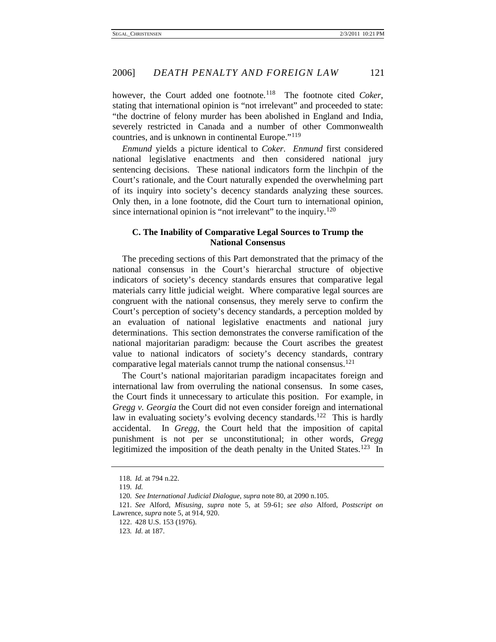however, the Court added one footnote.<sup>[118](#page-21-0)</sup> The footnote cited *Coker*, stating that international opinion is "not irrelevant" and proceeded to state: "the doctrine of felony murder has been abolished in England and India, severely restricted in Canada and a number of other Commonwealth countries, and is unknown in continental Europe."<sup>[119](#page-21-1)</sup>

*Enmund* yields a picture identical to *Coker*. *Enmund* first considered national legislative enactments and then considered national jury sentencing decisions. These national indicators form the linchpin of the Court's rationale, and the Court naturally expended the overwhelming part of its inquiry into society's decency standards analyzing these sources. Only then, in a lone footnote, did the Court turn to international opinion, since international opinion is "not irrelevant" to the inquiry.<sup>[120](#page-21-2)</sup>

#### **C. The Inability of Comparative Legal Sources to Trump the National Consensus**

The preceding sections of this Part demonstrated that the primacy of the national consensus in the Court's hierarchal structure of objective indicators of society's decency standards ensures that comparative legal materials carry little judicial weight. Where comparative legal sources are congruent with the national consensus, they merely serve to confirm the Court's perception of society's decency standards, a perception molded by an evaluation of national legislative enactments and national jury determinations. This section demonstrates the converse ramification of the national majoritarian paradigm: because the Court ascribes the greatest value to national indicators of society's decency standards, contrary comparative legal materials cannot trump the national consensus.<sup>[121](#page-21-3)</sup>

The Court's national majoritarian paradigm incapacitates foreign and international law from overruling the national consensus. In some cases, the Court finds it unnecessary to articulate this position. For example, in *Gregg v. Georgia* the Court did not even consider foreign and international law in evaluating society's evolving decency standards.<sup>122</sup> This is hardly accidental. In *Gregg*, the Court held that the imposition of capital punishment is not per se unconstitutional; in other words, *Gregg*  legitimized the imposition of the death penalty in the United States.<sup>[123](#page-21-5)</sup> In

<sup>118</sup>*. Id.* at 794 n.22.

<sup>119</sup>*. Id.*

<sup>120</sup>*. See International Judicial Dialogue*, *supra* note 80, at 2090 n.105.

<span id="page-21-5"></span><span id="page-21-4"></span><span id="page-21-3"></span><span id="page-21-2"></span><span id="page-21-1"></span><span id="page-21-0"></span><sup>121</sup>*. See* Alford, *Misusing*, *supra* note 5, at 59-61; *see also* Alford, *Postscript on* Lawrence, *supra* note 5, at 914, 920.

<sup>122.</sup> 428 U.S. 153 (1976).

<sup>123</sup>*. Id.* at 187.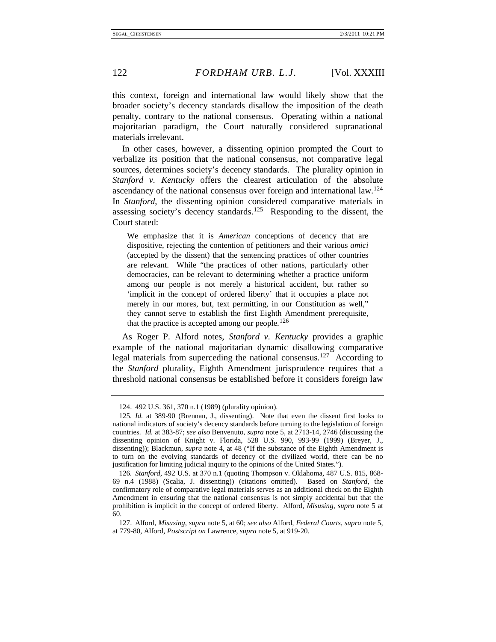this context, foreign and international law would likely show that the broader society's decency standards disallow the imposition of the death penalty, contrary to the national consensus. Operating within a national majoritarian paradigm, the Court naturally considered supranational materials irrelevant.

In other cases, however, a dissenting opinion prompted the Court to verbalize its position that the national consensus, not comparative legal sources, determines society's decency standards. The plurality opinion in *Stanford v. Kentucky* offers the clearest articulation of the absolute ascendancy of the national consensus over foreign and international law.<sup>124</sup> In *Stanford*, the dissenting opinion considered comparative materials in assessing society's decency standards.<sup>[125](#page-22-1)</sup> Responding to the dissent, the Court stated:

We emphasize that it is *American* conceptions of decency that are dispositive, rejecting the contention of petitioners and their various *amici*  (accepted by the dissent) that the sentencing practices of other countries are relevant. While "the practices of other nations, particularly other democracies, can be relevant to determining whether a practice uniform among our people is not merely a historical accident, but rather so 'implicit in the concept of ordered liberty' that it occupies a place not merely in our mores, but, text permitting, in our Constitution as well," they cannot serve to establish the first Eighth Amendment prerequisite, that the practice is accepted among our people.<sup>[126](#page-22-2)</sup>

As Roger P. Alford notes, *Stanford v. Kentucky* provides a graphic example of the national majoritarian dynamic disallowing comparative legal materials from superceding the national consensus.<sup>[127](#page-22-3)</sup> According to the *Stanford* plurality, Eighth Amendment jurisprudence requires that a threshold national consensus be established before it considers foreign law

<sup>124.</sup> 492 U.S. 361, 370 n.1 (1989) (plurality opinion).

<span id="page-22-1"></span><span id="page-22-0"></span><sup>125</sup>*. Id.* at 389-90 (Brennan, J., dissenting). Note that even the dissent first looks to national indicators of society's decency standards before turning to the legislation of foreign countries. *Id.* at 383-87; *see also* Benvenuto, *supra* note 5, at 2713-14, 2746 (discussing the dissenting opinion of Knight v. Florida, 528 U.S. 990, 993-99 (1999) (Breyer, J., dissenting)); Blackmun, *supra* note 4, at 48 ("If the substance of the Eighth Amendment is to turn on the evolving standards of decency of the civilized world, there can be no justification for limiting judicial inquiry to the opinions of the United States.").

<span id="page-22-2"></span><sup>126</sup>*. Stanford*, 492 U.S. at 370 n.1 (quoting Thompson v. Oklahoma, 487 U.S. 815, 868- 69 n.4 (1988) (Scalia, J. dissenting)) (citations omitted). Based on *Stanford*, the confirmatory role of comparative legal materials serves as an additional check on the Eighth Amendment in ensuring that the national consensus is not simply accidental but that the prohibition is implicit in the concept of ordered liberty. Alford, *Misusing*, *supra* note 5 at 60.

<span id="page-22-3"></span><sup>127.</sup> Alford, *Misusing*, *supra* note 5, at 60; *see also* Alford, *Federal Courts*, *supra* note 5, at 779-80, Alford, *Postscript on* Lawrence, *supra* note 5, at 919-20.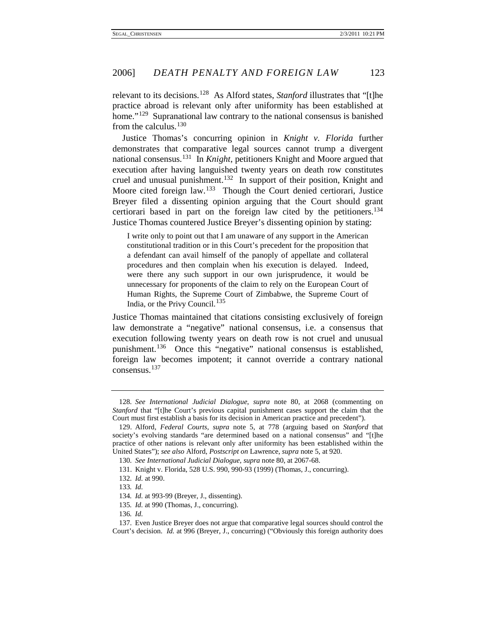relevant to its decisions.[128](#page-23-0) As Alford states, *Stanford* illustrates that "[t]he practice abroad is relevant only after uniformity has been established at home."<sup>[129](#page-23-1)</sup> Supranational law contrary to the national consensus is banished from the calculus.<sup>[130](#page-23-2)</sup>

Justice Thomas's concurring opinion in *Knight v. Florida* further demonstrates that comparative legal sources cannot trump a divergent national consensus.[131](#page-23-3) In *Knight*, petitioners Knight and Moore argued that execution after having languished twenty years on death row constitutes cruel and unusual punishment.<sup>[132](#page-23-4)</sup> In support of their position, Knight and Moore cited foreign law.<sup>133</sup> Though the Court denied certiorari, Justice Breyer filed a dissenting opinion arguing that the Court should grant certiorari based in part on the foreign law cited by the petitioners.<sup>[134](#page-23-6)</sup> Justice Thomas countered Justice Breyer's dissenting opinion by stating:

I write only to point out that I am unaware of any support in the American constitutional tradition or in this Court's precedent for the proposition that a defendant can avail himself of the panoply of appellate and collateral procedures and then complain when his execution is delayed. Indeed, were there any such support in our own jurisprudence, it would be unnecessary for proponents of the claim to rely on the European Court of Human Rights, the Supreme Court of Zimbabwe, the Supreme Court of India, or the Privy Council. [135](#page-23-7)

Justice Thomas maintained that citations consisting exclusively of foreign law demonstrate a "negative" national consensus, i.e. a consensus that execution following twenty years on death row is not cruel and unusual punishment.<sup>[136](#page-23-8)</sup> Once this "negative" national consensus is established, foreign law becomes impotent; it cannot override a contrary national consensus.[137](#page-23-9)

<span id="page-23-0"></span><sup>128</sup>*. See International Judicial Dialogue*, *supra* note 80, at 2068 (commenting on *Stanford* that "[t]he Court's previous capital punishment cases support the claim that the Court must first establish a basis for its decision in American practice and precedent").

<span id="page-23-2"></span><span id="page-23-1"></span><sup>129.</sup> Alford, *Federal Courts*, *supra* note 5, at 778 (arguing based on *Stanford* that society's evolving standards "are determined based on a national consensus" and "[t]he practice of other nations is relevant only after uniformity has been established within the United States"); *see also* Alford, *Postscript on* Lawrence, *supra* note 5, at 920.

<sup>130</sup>*. See International Judicial Dialogue*, *supra* note 80, at 2067-68.

<span id="page-23-3"></span><sup>131.</sup> Knight v. Florida, 528 U.S. 990, 990-93 (1999) (Thomas, J., concurring).

<sup>132</sup>*. Id.* at 990.

<span id="page-23-4"></span><sup>133</sup>*. Id.*

<sup>134</sup>*. Id.* at 993-99 (Breyer, J., dissenting).

<sup>135</sup>*. Id.* at 990 (Thomas, J., concurring).

<sup>136</sup>*. Id.*

<span id="page-23-9"></span><span id="page-23-8"></span><span id="page-23-7"></span><span id="page-23-6"></span><span id="page-23-5"></span><sup>137.</sup> Even Justice Breyer does not argue that comparative legal sources should control the Court's decision. *Id.* at 996 (Breyer, J., concurring) ("Obviously this foreign authority does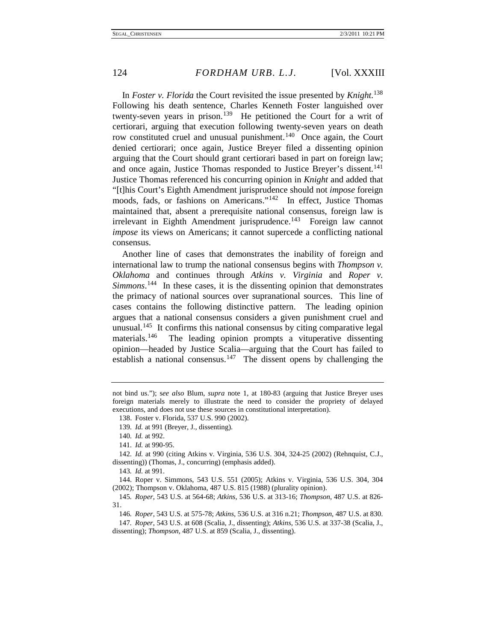In *Foster v. Florida* the Court revisited the issue presented by *Knight*. [138](#page-24-0)  Following his death sentence, Charles Kenneth Foster languished over twenty-seven years in prison.<sup>[139](#page-24-1)</sup> He petitioned the Court for a writ of certiorari, arguing that execution following twenty-seven years on death row constituted cruel and unusual punishment.<sup>140</sup> Once again, the Court denied certiorari; once again, Justice Breyer filed a dissenting opinion arguing that the Court should grant certiorari based in part on foreign law; and once again, Justice Thomas responded to Justice Breyer's dissent.<sup>141</sup> Justice Thomas referenced his concurring opinion in *Knight* and added that "[t]his Court's Eighth Amendment jurisprudence should not *impose* foreign moods, fads, or fashions on Americans."<sup>142</sup> In effect, Justice Thomas maintained that, absent a prerequisite national consensus, foreign law is irrelevant in Eighth Amendment jurisprudence.<sup>[143](#page-24-5)</sup> Foreign law cannot *impose* its views on Americans; it cannot supercede a conflicting national consensus.

Another line of cases that demonstrates the inability of foreign and international law to trump the national consensus begins with *Thompson v. Oklahoma* and continues through *Atkins v. Virginia* and *Roper v. Simmons*. [144](#page-24-6) In these cases, it is the dissenting opinion that demonstrates the primacy of national sources over supranational sources. This line of cases contains the following distinctive pattern. The leading opinion argues that a national consensus considers a given punishment cruel and unusual.<sup>145</sup> It confirms this national consensus by citing comparative legal materials.<sup>[146](#page-24-8)</sup> The leading opinion prompts a vituperative dissenting opinion––headed by Justice Scalia––arguing that the Court has failed to establish a national consensus.<sup>[147](#page-24-9)</sup> The dissent opens by challenging the

<span id="page-24-0"></span>not bind us."); s*ee also* Blum, *supra* note 1, at 180-83 (arguing that Justice Breyer uses foreign materials merely to illustrate the need to consider the propriety of delayed executions, and does not use these sources in constitutional interpretation).

<sup>138.</sup> Foster v. Florida, 537 U.S. 990 (2002).

<sup>139</sup>*. Id.* at 991 (Breyer, J., dissenting).

<sup>140</sup>*. Id.* at 992.

<sup>141</sup>*. Id.* at 990-95.

<span id="page-24-4"></span><span id="page-24-3"></span><span id="page-24-2"></span><span id="page-24-1"></span><sup>142</sup>*. Id.* at 990 (citing Atkins v. Virginia, 536 U.S. 304, 324-25 (2002) (Rehnquist, C.J., dissenting)) (Thomas, J., concurring) (emphasis added).

<sup>143</sup>*. Id.* at 991.

<span id="page-24-6"></span><span id="page-24-5"></span><sup>144.</sup> Roper v. Simmons, 543 U.S. 551 (2005); Atkins v. Virginia, 536 U.S. 304, 304 (2002); Thompson v. Oklahoma, 487 U.S. 815 (1988) (plurality opinion).

<span id="page-24-7"></span><sup>145</sup>*. Roper*, 543 U.S. at 564-68; *Atkins*, 536 U.S. at 313-16; *Thompson*, 487 U.S. at 826- 31.

<sup>146</sup>*. Roper*, 543 U.S. at 575-78; *Atkins*, 536 U.S. at 316 n.21; *Thompson*, 487 U.S. at 830.

<span id="page-24-9"></span><span id="page-24-8"></span><sup>147</sup>*. Roper*, 543 U.S. at 608 (Scalia, J., dissenting); *Atkins*, 536 U.S. at 337-38 (Scalia, J., dissenting); *Thompson*, 487 U.S. at 859 (Scalia, J., dissenting).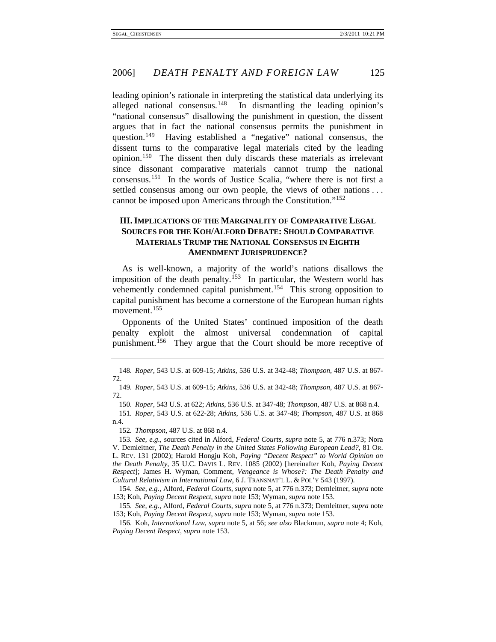leading opinion's rationale in interpreting the statistical data underlying its alleged national consensus.<sup>[148](#page-25-0)</sup> In dismantling the leading opinion's "national consensus" disallowing the punishment in question, the dissent argues that in fact the national consensus permits the punishment in question.<sup>[149](#page-25-1)</sup> Having established a "negative" national consensus, the dissent turns to the comparative legal materials cited by the leading opinion.[150](#page-25-2) The dissent then duly discards these materials as irrelevant since dissonant comparative materials cannot trump the national consensus.[151](#page-25-3) In the words of Justice Scalia, "where there is not first a settled consensus among our own people, the views of other nations . . . cannot be imposed upon Americans through the Constitution."[152](#page-25-4)

#### **III. IMPLICATIONS OF THE MARGINALITY OF COMPARATIVE LEGAL SOURCES FOR THE KOH/ALFORD DEBATE: SHOULD COMPARATIVE MATERIALS TRUMP THE NATIONAL CONSENSUS IN EIGHTH AMENDMENT JURISPRUDENCE?**

As is well-known, a majority of the world's nations disallows the imposition of the death penalty.<sup>[153](#page-25-5)</sup> In particular, the Western world has vehemently condemned capital punishment.[154](#page-25-6) This strong opposition to capital punishment has become a cornerstone of the European human rights movement.[155](#page-25-7)

Opponents of the United States' continued imposition of the death penalty exploit the almost universal condemnation of capital punishment.<sup>[156](#page-25-8)</sup> They argue that the Court should be more receptive of

<span id="page-25-1"></span>149*. Roper*, 543 U.S. at 609-15; *Atkins*, 536 U.S. at 342-48; *Thompson*, 487 U.S. at 867- 72.

150*. Roper*, 543 U.S. at 622; *Atkins*, 536 U.S. at 347-48; *Thompson*, 487 U.S. at 868 n.4.

<span id="page-25-3"></span><span id="page-25-2"></span>151*. Roper*, 543 U.S. at 622-28; *Atkins*, 536 U.S. at 347-48; *Thompson*, 487 U.S. at 868 n.4.

152*. Thompson*, 487 U.S. at 868 n.4.

<span id="page-25-5"></span><span id="page-25-4"></span>153*. See, e.g.*, sources cited in Alford, *Federal Courts*, *supra* note 5, at 776 n.373; Nora V. Demleitner, *The Death Penalty in the United States Following European Lead?*, 81 OR. L. REV. 131 (2002); Harold Hongju Koh, *Paying "Decent Respect" to World Opinion on the Death Penalty*, 35 U.C. DAVIS L. REV. 1085 (2002) [hereinafter Koh, *Paying Decent Respect*]; James H. Wyman, Comment, *Vengeance is Whose?: The Death Penalty and Cultural Relativism in International Law*, 6 J. TRANSNAT'L L. & POL'Y 543 (1997).

<span id="page-25-6"></span>154*. See, e.g.*, Alford, *Federal Courts*, *supra* note 5, at 776 n.373; Demleitner, *supra* note 153; Koh, *Paying Decent Respect*, *supra* note 153; Wyman, *supra* note 153.

<span id="page-25-7"></span>155*. See, e.g.*, Alford, *Federal Courts*, *supra* note 5, at 776 n.373; Demleitner, *supra* note 153; Koh, *Paying Decent Respect*, *supra* note 153; Wyman, *supra* note 153.

<span id="page-25-8"></span>156. Koh, *International Law*, *supra* note 5, at 56; *see also* Blackmun, *supra* note 4; Koh, *Paying Decent Respect*, *supra* note 153.

<span id="page-25-0"></span><sup>148</sup>*. Roper*, 543 U.S. at 609-15; *Atkins*, 536 U.S. at 342-48; *Thompson*, 487 U.S. at 867- 72.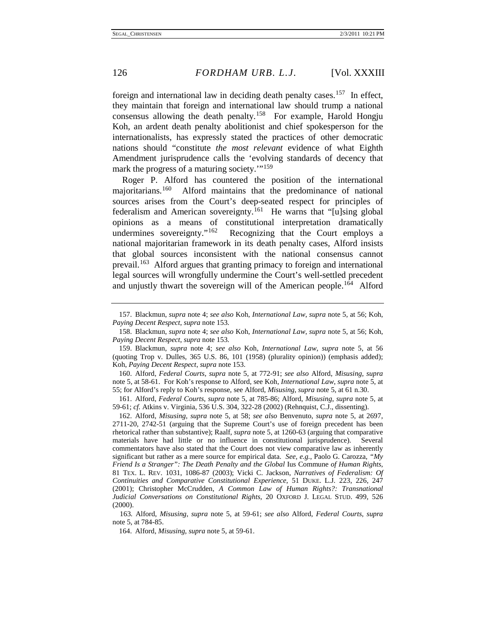foreign and international law in deciding death penalty cases.<sup>[157](#page-26-0)</sup> In effect, they maintain that foreign and international law should trump a national consensus allowing the death penalty.<sup>158</sup> For example, Harold Hongju Koh, an ardent death penalty abolitionist and chief spokesperson for the internationalists, has expressly stated the practices of other democratic nations should "constitute *the most relevant* evidence of what Eighth Amendment jurisprudence calls the 'evolving standards of decency that mark the progress of a maturing society."<sup>[159](#page-26-2)</sup>

Roger P. Alford has countered the position of the international majoritarians.<sup>160</sup> Alford maintains that the predominance of national sources arises from the Court's deep-seated respect for principles of federalism and American sovereignty.<sup>[161](#page-26-4)</sup> He warns that "[u]sing global opinions as a means of constitutional interpretation dramatically undermines sovereignty."<sup>162</sup> Recognizing that the Court employs a national majoritarian framework in its death penalty cases, Alford insists that global sources inconsistent with the national consensus cannot prevail.[163](#page-26-6) Alford argues that granting primacy to foreign and international legal sources will wrongfully undermine the Court's well-settled precedent and unjustly thwart the sovereign will of the American people.<sup>[164](#page-26-7)</sup> Alford

<span id="page-26-0"></span><sup>157.</sup> Blackmun, *supra* note 4; *see also* Koh, *International Law*, *supra* note 5, at 56; Koh, *Paying Decent Respect*, *supra* note 153.

<span id="page-26-1"></span><sup>158.</sup> Blackmun, *supra* note 4; *see also* Koh, *International Law*, *supra* note 5, at 56; Koh, *Paying Decent Respect*, *supra* note 153.

<span id="page-26-2"></span><sup>159.</sup> Blackmun, *supra* note 4; *see also* Koh, *International Law*, *supra* note 5, at 56 (quoting Trop v. Dulles, 365 U.S. 86, 101 (1958) (plurality opinion)) (emphasis added); Koh, *Paying Decent Respect*, *supra* note 153.

<span id="page-26-3"></span><sup>160.</sup> Alford, *Federal Courts*, *supra* note 5, at 772-91; *see also* Alford, *Misusing*, *supra* note 5, at 58-61. For Koh's response to Alford, see Koh, *International Law*, *supra* note 5, at 55; for Alford's reply to Koh's response, see Alford, *Misusing*, *supra* note 5, at 61 n.30.

<span id="page-26-4"></span><sup>161.</sup> Alford, *Federal Courts*, *supra* note 5, at 785-86; Alford, *Misusing*, *supra* note 5, at 59-61; *cf.* Atkins v. Virginia, 536 U.S. 304, 322-28 (2002) (Rehnquist, C.J., dissenting).

<span id="page-26-5"></span><sup>162.</sup> Alford, *Misusing*, *supra* note 5, at 58; *see also* Benvenuto, *supra* note 5, at 2697, 2711-20, 2742-51 (arguing that the Supreme Court's use of foreign precedent has been rhetorical rather than substantive); Raalf, *supra* note 5, at 1260-63 (arguing that comparative materials have had little or no influence in constitutional jurisprudence). Several commentators have also stated that the Court does not view comparative law as inherently significant but rather as a mere source for empirical data. *See, e.g.*, Paolo G. Carozza, *"My Friend Is a Stranger": The Death Penalty and the Global* Ius Commune *of Human Rights*, 81 TEX. L. REV. 1031, 1086-87 (2003); Vicki C. Jackson, *Narratives of Federalism: Of Continuities and Comparative Constitutional Experience*, 51 DUKE. L.J. 223, 226, 247 (2001); Christopher McCrudden, *A Common Law of Human Rights?: Transnational Judicial Conversations on Constitutional Rights*, 20 OXFORD J. LEGAL STUD. 499, 526 (2000).

<span id="page-26-7"></span><span id="page-26-6"></span>163*.* Alford, *Misusing*, *supra* note 5, at 59-61; *see also* Alford, *Federal Courts*, *supra* note 5, at 784-85.

<sup>164.</sup> Alford, *Misusing*, *supra* note 5, at 59-61.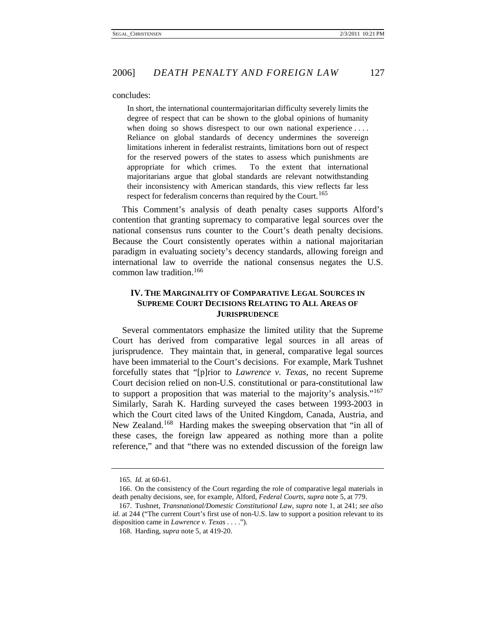concludes:

In short, the international countermajoritarian difficulty severely limits the degree of respect that can be shown to the global opinions of humanity when doing so shows disrespect to our own national experience .... Reliance on global standards of decency undermines the sovereign limitations inherent in federalist restraints, limitations born out of respect for the reserved powers of the states to assess which punishments are appropriate for which crimes. To the extent that international majoritarians argue that global standards are relevant notwithstanding their inconsistency with American standards, this view reflects far less respect for federalism concerns than required by the Court.<sup>[165](#page-27-0)</sup>

This Comment's analysis of death penalty cases supports Alford's contention that granting supremacy to comparative legal sources over the national consensus runs counter to the Court's death penalty decisions. Because the Court consistently operates within a national majoritarian paradigm in evaluating society's decency standards, allowing foreign and international law to override the national consensus negates the U.S. common law tradition.[166](#page-27-1)

#### **IV. THE MARGINALITY OF COMPARATIVE LEGAL SOURCES IN SUPREME COURT DECISIONS RELATING TO ALL AREAS OF JURISPRUDENCE**

Several commentators emphasize the limited utility that the Supreme Court has derived from comparative legal sources in all areas of jurisprudence. They maintain that, in general, comparative legal sources have been immaterial to the Court's decisions. For example, Mark Tushnet forcefully states that "[p]rior to *Lawrence v. Texas*, no recent Supreme Court decision relied on non-U.S. constitutional or para-constitutional law to support a proposition that was material to the majority's analysis."[167](#page-27-2)  Similarly, Sarah K. Harding surveyed the cases between 1993-2003 in which the Court cited laws of the United Kingdom, Canada, Austria, and New Zealand.<sup>[168](#page-27-3)</sup> Harding makes the sweeping observation that "in all of these cases, the foreign law appeared as nothing more than a polite reference," and that "there was no extended discussion of the foreign law

<sup>165</sup>*. Id.* at 60-61.

<span id="page-27-1"></span><span id="page-27-0"></span><sup>166.</sup> On the consistency of the Court regarding the role of comparative legal materials in death penalty decisions, see, for example, Alford, *Federal Courts*, *supra* note 5, at 779.

<span id="page-27-3"></span><span id="page-27-2"></span><sup>167.</sup> Tushnet, *Transnational/Domestic Constitutional Law*, *supra* note 1, at 241; *see also id.* at 244 ("The current Court's first use of non-U.S. law to support a position relevant to its disposition came in *Lawrence v. Texas .* . . .").

<sup>168.</sup> Harding, *supra* note 5, at 419-20.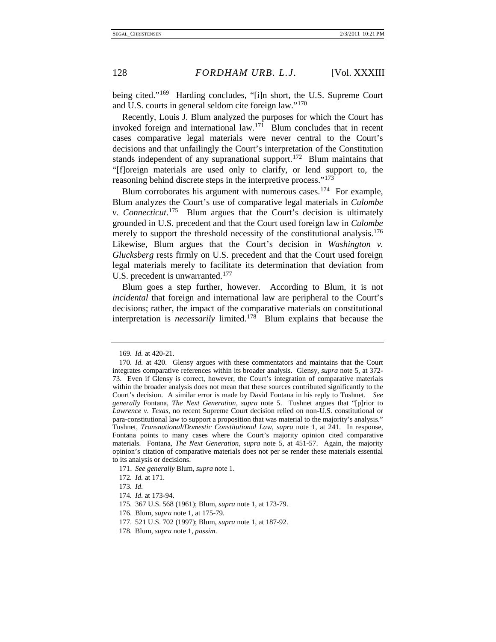being cited."<sup>169</sup> Harding concludes, "[i]n short, the U.S. Supreme Court and U.S. courts in general seldom cite foreign law."[170](#page-28-1)

Recently, Louis J. Blum analyzed the purposes for which the Court has invoked foreign and international law.<sup>[171](#page-28-2)</sup> Blum concludes that in recent cases comparative legal materials were never central to the Court's decisions and that unfailingly the Court's interpretation of the Constitution stands independent of any supranational support.<sup>172</sup> Blum maintains that "[f]oreign materials are used only to clarify, or lend support to, the reasoning behind discrete steps in the interpretive process."<sup>[173](#page-28-4)</sup>

Blum corroborates his argument with numerous cases.<sup>[174](#page-28-5)</sup> For example, Blum analyzes the Court's use of comparative legal materials in *Culombe v. Connecticut*. [175](#page-28-6) Blum argues that the Court's decision is ultimately grounded in U.S. precedent and that the Court used foreign law in *Culombe*  merely to support the threshold necessity of the constitutional analysis.<sup>176</sup> Likewise, Blum argues that the Court's decision in *Washington v. Glucksberg* rests firmly on U.S. precedent and that the Court used foreign legal materials merely to facilitate its determination that deviation from U.S. precedent is unwarranted.<sup>[177](#page-28-8)</sup>

Blum goes a step further, however. According to Blum, it is not *incidental* that foreign and international law are peripheral to the Court's decisions; rather, the impact of the comparative materials on constitutional interpretation is *necessarily* limited.<sup>[178](#page-28-9)</sup> Blum explains that because the

<span id="page-28-2"></span>171. *See generally* Blum, *supra* note 1.

<sup>169</sup>*. Id.* at 420-21.

<span id="page-28-1"></span><span id="page-28-0"></span><sup>170</sup>*. Id.* at 420. Glensy argues with these commentators and maintains that the Court integrates comparative references within its broader analysis. Glensy, *supra* note 5, at 372- 73. Even if Glensy is correct, however, the Court's integration of comparative materials within the broader analysis does not mean that these sources contributed significantly to the Court's decision. A similar error is made by David Fontana in his reply to Tushnet. *See generally* Fontana, *The Next Generation*, *supra* note 5. Tushnet argues that "[p]rior to *Lawrence v. Texas*, no recent Supreme Court decision relied on non-U.S. constitutional or para-constitutional law to support a proposition that was material to the majority's analysis." Tushnet, *Transnational/Domestic Constitutional Law*, *supra* note 1, at 241. In response, Fontana points to many cases where the Court's majority opinion cited comparative materials. Fontana, *The Next Generation*, *supra* note 5, at 451-57. Again, the majority opinion's citation of comparative materials does not per se render these materials essential to its analysis or decisions.

<span id="page-28-3"></span><sup>172</sup>*. Id.* at 171.

<span id="page-28-4"></span><sup>173</sup>*. Id.*

<span id="page-28-5"></span><sup>174</sup>*. Id.* at 173-94.

<span id="page-28-6"></span><sup>175.</sup> 367 U.S. 568 (1961); Blum, *supra* note 1, at 173-79.

<span id="page-28-7"></span><sup>176.</sup> Blum, *supra* note 1, at 175-79.

<sup>177.</sup> 521 U.S. 702 (1997); Blum, *supra* note 1, at 187-92.

<span id="page-28-9"></span><span id="page-28-8"></span><sup>178.</sup> Blum, *supra* note 1, *passim*.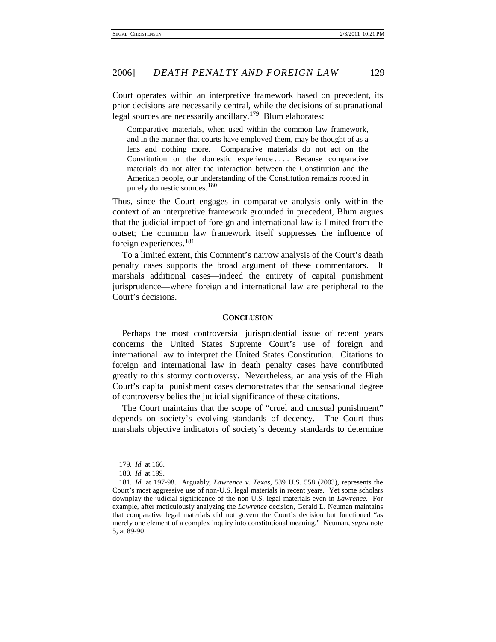Court operates within an interpretive framework based on precedent, its prior decisions are necessarily central, while the decisions of supranational legal sources are necessarily ancillary.<sup>[179](#page-29-0)</sup> Blum elaborates:

Comparative materials, when used within the common law framework, and in the manner that courts have employed them, may be thought of as a lens and nothing more. Comparative materials do not act on the Constitution or the domestic experience .... Because comparative materials do not alter the interaction between the Constitution and the American people, our understanding of the Constitution remains rooted in purely domestic sources. [180](#page-29-1)

Thus, since the Court engages in comparative analysis only within the context of an interpretive framework grounded in precedent, Blum argues that the judicial impact of foreign and international law is limited from the outset; the common law framework itself suppresses the influence of foreign experiences.[181](#page-29-2)

To a limited extent, this Comment's narrow analysis of the Court's death penalty cases supports the broad argument of these commentators. It marshals additional cases—indeed the entirety of capital punishment jurisprudence—where foreign and international law are peripheral to the Court's decisions.

#### **CONCLUSION**

Perhaps the most controversial jurisprudential issue of recent years concerns the United States Supreme Court's use of foreign and international law to interpret the United States Constitution. Citations to foreign and international law in death penalty cases have contributed greatly to this stormy controversy. Nevertheless, an analysis of the High Court's capital punishment cases demonstrates that the sensational degree of controversy belies the judicial significance of these citations.

The Court maintains that the scope of "cruel and unusual punishment" depends on society's evolving standards of decency. The Court thus marshals objective indicators of society's decency standards to determine

<sup>179</sup>*. Id.* at 166.

<sup>180</sup>*. Id.* at 199.

<span id="page-29-2"></span><span id="page-29-1"></span><span id="page-29-0"></span><sup>181</sup>*. Id.* at 197-98. Arguably, *Lawrence v. Texas*, 539 U.S. 558 (2003), represents the Court's most aggressive use of non-U.S. legal materials in recent years. Yet some scholars downplay the judicial significance of the non-U.S. legal materials even in *Lawrence*. For example, after meticulously analyzing the *Lawrence* decision, Gerald L. Neuman maintains that comparative legal materials did not govern the Court's decision but functioned "as merely one element of a complex inquiry into constitutional meaning." Neuman, *supra* note 5, at 89-90.